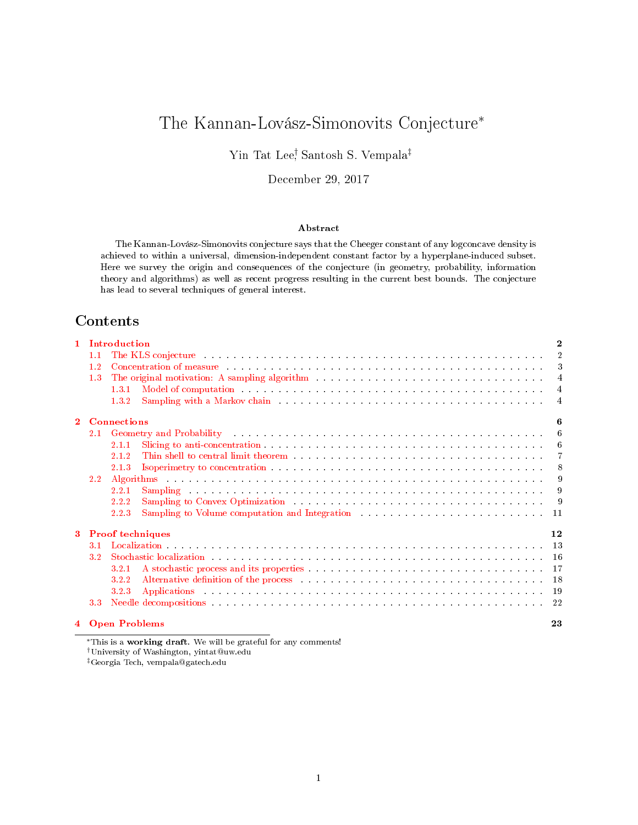# The Kannan-Lovász-Simonovits Conjecture<sup>∗</sup>

Yin Tat Lee† , Santosh S. Vempala‡

December 29, 2017

### Abstract

The Kannan-Lovász-Simonovits conjecture says that the Cheeger constant of any logconcave density is achieved to within a universal, dimension-independent constant factor by a hyperplane-induced subset. Here we survey the origin and consequences of the conjecture (in geometry, probability, information theory and algorithms) as well as recent progress resulting in the current best bounds. The conjecture has lead to several techniques of general interest.

# Contents

| $\mathbf{1}$ |                  | Introduction                                                                                                                                                                                                                            | $\bf{2}$       |
|--------------|------------------|-----------------------------------------------------------------------------------------------------------------------------------------------------------------------------------------------------------------------------------------|----------------|
|              | 1.1              | The KLS conjecture and and an arrangement of the series of the series of the series of the series of the series of the series of the series of the series of the series of the series of the series of the series of the serie          | $\overline{2}$ |
|              | 1.2              | Concentration of measure entering the server is a server in the server in the server in the server in the server in the server in the server in the server in the server in the server in the server in the server in the serv          | $\mathcal{S}$  |
|              | 1.3              | The original motivation: A sampling algorithm (a) and (a) and (a) and (a) and (a) and (a) and (a) and (a) and (a) and (a) and (a) and (a) and (a) and (a) and (a) and (a) and (a) and (a) and (a) and (a) and (a) and (a) and           | $\overline{4}$ |
|              |                  | Model of computation with a subsequently and a subsequently and a subsequently set of the subsequently set of $\mathbb{R}^n$<br>1.3.1                                                                                                   | $\overline{4}$ |
|              |                  | Sampling with a Markov chain enterpreteration of the contract of the contract of the contract of the contract of the contract of the contract of the contract of the contract of the contract of the contract of the contract<br>1.3.2  | $\overline{4}$ |
| $\mathbf{2}$ |                  | <b>Connections</b>                                                                                                                                                                                                                      | հ              |
|              | 2.1              | Geometry and Probability (Ed. 2010) (Ed. 2010) (Ed. 2010) (Ed. 2010) (Ed. 2010) (Ed. 2010) (Ed. 2010) (Ed. 2010)                                                                                                                        | 6              |
|              |                  | 2.1.1                                                                                                                                                                                                                                   | -6             |
|              |                  | 2.1.2                                                                                                                                                                                                                                   | 7              |
|              |                  | 2.1.3                                                                                                                                                                                                                                   | - 8            |
|              | $2.2^{\circ}$    |                                                                                                                                                                                                                                         | 9              |
|              |                  | Sampling and an analyzing and an analyzing and an analyzing and an analyzing and an<br>2.2.1                                                                                                                                            | 9              |
|              |                  | 2.2.2                                                                                                                                                                                                                                   | - 9            |
|              |                  | Sampling to Volume computation and Integration (1) and the set of the set of the set of the set of the set of the set of the set of the set of the set of the set of the set of the set of the set of the set of the set of th<br>2.2.3 |                |
| 3            |                  | <b>Proof techniques</b>                                                                                                                                                                                                                 | 12             |
|              | 3.1              |                                                                                                                                                                                                                                         | -13            |
|              | 3.2 <sub>1</sub> | Stochastic localization entries and a series of the series of the series of the series of the series of the series of the series of the series of the series of the series of the series of the series of the series of the se          | -16            |
|              |                  | 3.2.1                                                                                                                                                                                                                                   | <sup>17</sup>  |
|              |                  | Alternative definition of the process enterior in the contract of the process of the process of the contract of the contract of the contract of the contract of the contract of the contract of the contract of the contract o<br>3.2.2 | 18             |
|              |                  | Applications and a consequence of the consequence of the consequence of the consequence of the consequence of the consequence of the consequence of the consequence of the consequence of the consequence of the consequence o<br>3.2.3 | -19            |
|              | 3.3 <sub>1</sub> | Needle decompositions that is a contract that is a contract of the contract of the contract of the contract of the contract of the contract of the contract of the contract of the contract of the contract of the contract of          | -22            |
|              |                  | 4 Open Problems                                                                                                                                                                                                                         | 23             |

<sup>∗</sup>This is a working draft. We will be grateful for any comments! †University of Washington, yintat@uw.edu ‡Georgia Tech, vempala@gatech.edu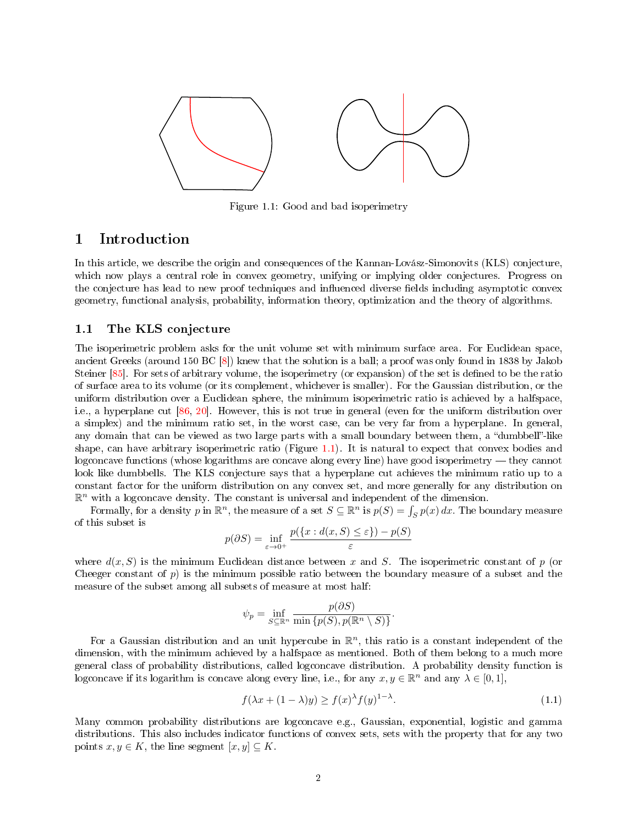<span id="page-1-2"></span>

Figure 1.1: Good and bad isoperimetry

# <span id="page-1-0"></span>1 Introduction

In this article, we describe the origin and consequences of the Kannan-Lovász-Simonovits (KLS) conjecture, which now plays a central role in convex geometry, unifying or implying older conjectures. Progress on the conjecture has lead to new proof techniques and influenced diverse fields including asymptotic convex geometry, functional analysis, probability, information theory, optimization and the theory of algorithms.

# <span id="page-1-1"></span>1.1 The KLS conjecture

The isoperimetric problem asks for the unit volume set with minimum surface area. For Euclidean space, ancient Greeks (around 150 BC [\[8\]](#page-23-0)) knew that the solution is a ball; a proof was only found in 1838 by Jakob Steiner [\[85\]](#page-27-0). For sets of arbitrary volume, the isoperimetry (or expansion) of the set is defined to be the ratio of surface area to its volume (or its complement, whichever is smaller). For the Gaussian distribution, or the uniform distribution over a Euclidean sphere, the minimum isoperimetric ratio is achieved by a halfspace, i.e., a hyperplane cut [\[86,](#page-27-1) [20\]](#page-24-0). However, this is not true in general (even for the uniform distribution over a simplex) and the minimum ratio set, in the worst case, can be very far from a hyperplane. In general, any domain that can be viewed as two large parts with a small boundary between them, a "dumbbell"-like shape, can have arbitrary isoperimetric ratio (Figure [1.1\)](#page-1-2). It is natural to expect that convex bodies and logconcave functions (whose logarithms are concave along every line) have good isoperimetry — they cannot look like dumbbells. The KLS conjecture says that a hyperplane cut achieves the minimum ratio up to a constant factor for the uniform distribution on any convex set, and more generally for any distribution on  $\mathbb{R}^n$  with a logconcave density. The constant is universal and independent of the dimension.

Formally, for a density p in  $\mathbb{R}^n$ , the measure of a set  $S \subseteq \mathbb{R}^n$  is  $p(S) = \int_S p(x) dx$ . The boundary measure of this subset is

$$
p(\partial S) = \inf_{\varepsilon \to 0^+} \frac{p(\{x : d(x, S) \le \varepsilon\}) - p(S)}{\varepsilon}
$$

where  $d(x, S)$  is the minimum Euclidean distance between x and S. The isoperimetric constant of p (or Cheeger constant of p) is the minimum possible ratio between the boundary measure of a subset and the measure of the subset among all subsets of measure at most half:

$$
\psi_p = \inf_{S \subseteq \mathbb{R}^n} \frac{p(\partial S)}{\min \{p(S), p(\mathbb{R}^n \setminus S)\}}
$$

For a Gaussian distribution and an unit hypercube in  $\mathbb{R}^n$ , this ratio is a constant independent of the dimension, with the minimum achieved by a halfspace as mentioned. Both of them belong to a much more general class of probability distributions, called logconcave distribution. A probability density function is logconcave if its logarithm is concave along every line, i.e., for any  $x, y \in \mathbb{R}^n$  and any  $\lambda \in [0, 1]$ ,

<span id="page-1-3"></span>
$$
f(\lambda x + (1 - \lambda)y) \ge f(x)^{\lambda} f(y)^{1 - \lambda}.
$$
\n(1.1)

.

Many common probability distributions are logconcave e.g., Gaussian, exponential, logistic and gamma distributions. This also includes indicator functions of convex sets, sets with the property that for any two points  $x, y \in K$ , the line segment  $[x, y] \subseteq K$ .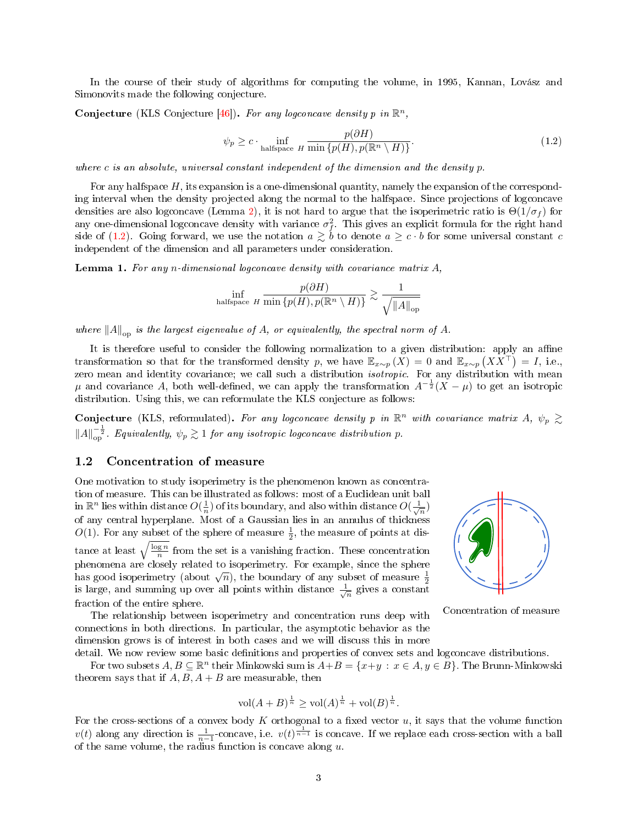In the course of their study of algorithms for computing the volume, in 1995, Kannan, Lovász and Simonovits made the following conjecture.

Conjecture (KLS Conjecture [\[46\]](#page-25-0)). For any logconcave density p in  $\mathbb{R}^n$ ,

<span id="page-2-1"></span>
$$
\psi_p \ge c \cdot \inf_{\text{halfspace } H} \frac{p(\partial H)}{\min\{p(H), p(\mathbb{R}^n \setminus H)\}}. \tag{1.2}
$$

where c is an absolute, universal constant independent of the dimension and the density  $p$ .

For any halfspace  $H$ , its expansion is a one-dimensional quantity, namely the expansion of the corresponding interval when the density projected along the normal to the halfspace. Since projections of logconcave densities are also logconcave (Lemma [2\)](#page-3-3), it is not hard to argue that the isoperimetric ratio is  $\Theta(1/\sigma_f)$  for any one-dimensional logconcave density with variance  $\sigma_f^2$ . This gives an explicit formula for the right hand side of [\(1.2\)](#page-2-1). Going forward, we use the notation  $a \gtrsim b$  to denote  $a \geq c \cdot b$  for some universal constant c independent of the dimension and all parameters under consideration.

**Lemma 1.** For any n-dimensional logconcave density with covariance matrix  $A$ ,

$$
\inf_{\text{halfspace } H} \frac{p(\partial H)}{\min\{p(H), p(\mathbb{R}^n \setminus H)\}} \gtrsim \frac{1}{\sqrt{\|A\|_{\text{op}}}}
$$

where  $||A||_{\text{on}}$  is the largest eigenvalue of A, or equivalently, the spectral norm of A.

It is therefore useful to consider the following normalization to a given distribution: apply an affine transformation so that for the transformed density p, we have  $\mathbb{E}_{x \sim p} (X) = 0$  and  $\mathbb{E}_{x \sim p} (XX^{\top}) = I$ , i.e., zero mean and identity covariance; we call such a distribution isotropic. For any distribution with mean  $\mu$  and covariance A, both well-defined, we can apply the transformation  $A^{-\frac{1}{2}}(X-\mu)$  to get an isotropic distribution. Using this, we can reformulate the KLS conjecture as follows:

**Conjecture** (KLS, reformulated). For any logconcave density p in  $\mathbb{R}^n$  with covariance matrix A,  $\psi_p \gtrsim$  $||A||_{\text{op}}^{-\frac{1}{2}}$ . Equivalently,  $\psi_p \gtrsim 1$  for any isotropic logconcave distribution p.

### <span id="page-2-0"></span>1.2 Concentration of measure

One motivation to study isoperimetry is the phenomenon known as concentration of measure. This can be illustrated as follows: most of a Euclidean unit ball in  $\mathbb{R}^n$  lies within distance  $O(\frac{1}{n})$  of its boundary, and also within distance  $O(\frac{1}{\sqrt{n}})$ of any central hyperplane. Most of a Gaussian lies in an annulus of thickness  $O(1)$ . For any subset of the sphere of measure  $\frac{1}{2}$ , the measure of points at distance at least  $\sqrt{\frac{\log n}{n}}$  from the set is a vanishing fraction. These concentration phenomena are closely related to isoperimetry. For example, since the sphere phenomena are closely related to isoperimetry. For example, since the sphere has good isoperimetry (about  $\sqrt{n}$ ), the boundary of any subset of measure  $\frac{1}{2}$ is large, and summing up over all points within distance  $\frac{1}{\sqrt{n}}$  gives a constant fraction of the entire sphere.

The relationship between isoperimetry and concentration runs deep with connections in both directions. In particular, the asymptotic behavior as the dimension grows is of interest in both cases and we will discuss this in more



Concentration of measure

detail. We now review some basic definitions and properties of convex sets and logconcave distributions. For two subsets  $A, B \subseteq \mathbb{R}^n$  their Minkowski sum is  $A+B = \{x+y \, : \, x \in A, y \in B\}$ . The Brunn-Minkowski theorem says that if  $A, B, A + B$  are measurable, then

$$
\text{vol}(A + B)^{\frac{1}{n}} \ge \text{vol}(A)^{\frac{1}{n}} + \text{vol}(B)^{\frac{1}{n}}.
$$

For the cross-sections of a convex body  $K$  orthogonal to a fixed vector  $u$ , it says that the volume function  $v(t)$  along any direction is  $\frac{1}{n-1}$ -concave, i.e.  $v(t)^{\frac{1}{n-1}}$  is concave. If we replace each cross-section with a ball of the same volume, the radius function is concave along  $u$ .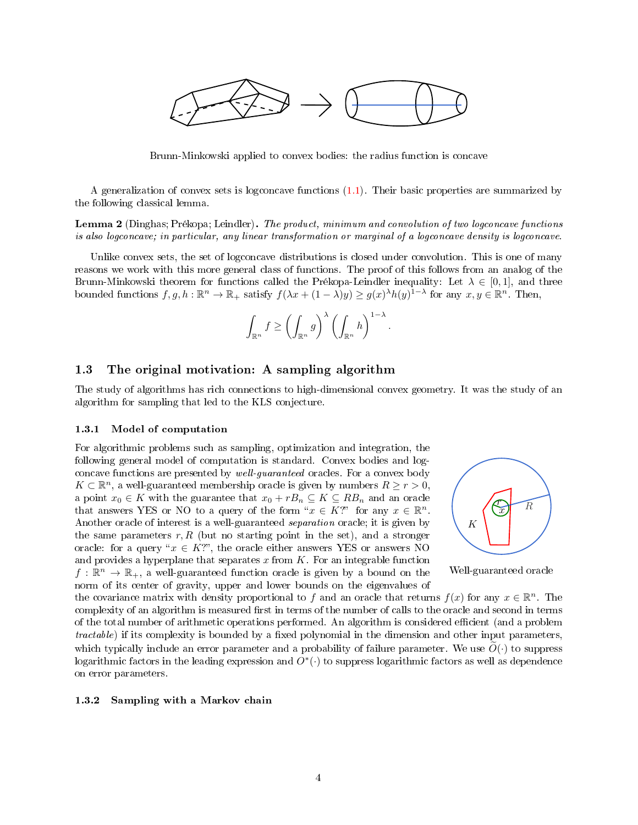

Brunn-Minkowski applied to convex bodies: the radius function is concave

A generalization of convex sets is logconcave functions [\(1.1\)](#page-1-3). Their basic properties are summarized by the following classical lemma.

<span id="page-3-3"></span>Lemma 2 (Dinghas; Prékopa; Leindler). The product, minimum and convolution of two logconcave functions is also logconcave; in particular, any linear transformation or marginal of a logconcave density is logconcave.

Unlike convex sets, the set of logconcave distributions is closed under convolution. This is one of many reasons we work with this more general class of functions. The proof of this follows from an analog of the Brunn-Minkowski theorem for functions called the Prékopa-Leindler inequality: Let  $\lambda \in [0,1]$ , and three bounded functions  $f, g, h: \mathbb{R}^n \to \mathbb{R}_+$  satisfy  $f(\lambda x + (1 - \lambda)y) \geq g(x)^{\lambda}h(y)^{1-\lambda}$  for any  $x, y \in \mathbb{R}^n$ . Then,

$$
\int_{\mathbb{R}^n} f \ge \left(\int_{\mathbb{R}^n} g\right)^{\lambda} \left(\int_{\mathbb{R}^n} h\right)^{1-\lambda}.
$$

# <span id="page-3-0"></span>1.3 The original motivation: A sampling algorithm

The study of algorithms has rich connections to high-dimensional convex geometry. It was the study of an algorithm for sampling that led to the KLS conjecture.

### <span id="page-3-1"></span>1.3.1 Model of computation

For algorithmic problems such as sampling, optimization and integration, the following general model of computation is standard. Convex bodies and logconcave functions are presented by well-guaranteed oracles. For a convex body  $K \subset \mathbb{R}^n$ , a well-guaranteed membership oracle is given by numbers  $R \ge r > 0$ , a point  $x_0 \in K$  with the guarantee that  $x_0 + rB_n \subseteq K \subseteq RB_n$  and an oracle that answers YES or NO to a query of the form " $x \in K$ ?" for any  $x \in \mathbb{R}^n$ . Another oracle of interest is a well-guaranteed separation oracle; it is given by the same parameters  $r, R$  (but no starting point in the set), and a stronger oracle: for a query " $x \in K$ ?", the oracle either answers YES or answers NO and provides a hyperplane that separates  $x$  from  $K$ . For an integrable function  $f: \mathbb{R}^n \to \mathbb{R}_+$ , a well-guaranteed function oracle is given by a bound on the norm of its center of gravity, upper and lower bounds on the eigenvalues of



Well-guaranteed oracle

the covariance matrix with density proportional to f and an oracle that returns  $f(x)$  for any  $x \in \mathbb{R}^n$ . The complexity of an algorithm is measured first in terms of the number of calls to the oracle and second in terms of the total number of arithmetic operations performed. An algorithm is considered efficient (and a problem  $tractable)$  if its complexity is bounded by a fixed polynomial in the dimension and other input parameters, which typically include an error parameter and a probability of failure parameter. We use  $O(\cdot)$  to suppress logarithmic factors in the leading expression and  $O^*(\cdot)$  to suppress logarithmic factors as well as dependence on error parameters.

### <span id="page-3-2"></span>1.3.2 Sampling with a Markov chain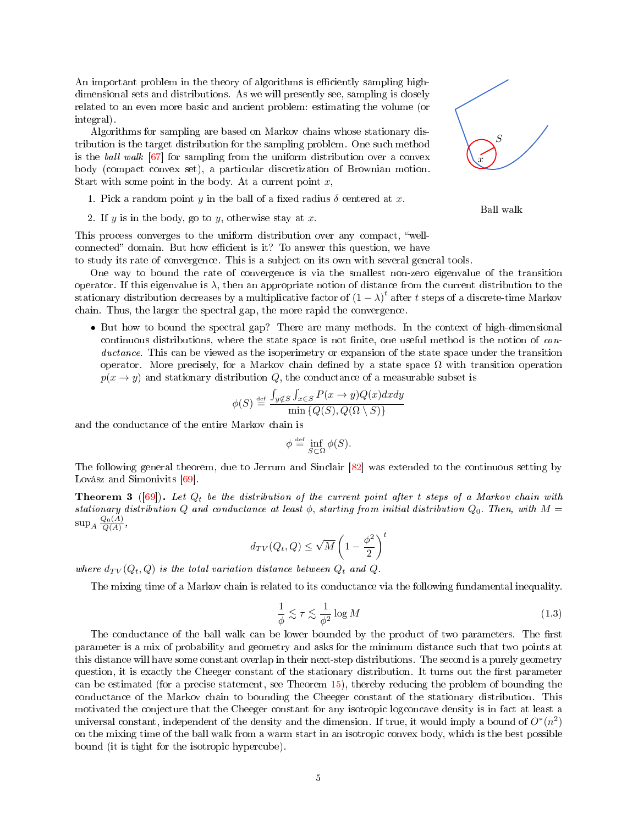An important problem in the theory of algorithms is efficiently sampling highdimensional sets and distributions. As we will presently see, sampling is closely related to an even more basic and ancient problem: estimating the volume (or integral).

Algorithms for sampling are based on Markov chains whose stationary distribution is the target distribution for the sampling problem. One such method is the ball walk [\[67\]](#page-26-0) for sampling from the uniform distribution over a convex body (compact convex set), a particular discretization of Brownian motion. Start with some point in the body. At a current point  $x$ ,

- 1. Pick a random point y in the ball of a fixed radius  $\delta$  centered at x.
- 2. If y is in the body, go to y, otherwise stay at x.

This process converges to the uniform distribution over any compact, "wellconnected" domain. But how efficient is it? To answer this question, we have

to study its rate of convergence. This is a subject on its own with several general tools.

One way to bound the rate of convergence is via the smallest non-zero eigenvalue of the transition operator. If this eigenvalue is  $\lambda$ , then an appropriate notion of distance from the current distribution to the stationary distribution decreases by a multiplicative factor of  $(1 - \lambda)^t$  after t steps of a discrete-time Markov chain. Thus, the larger the spectral gap, the more rapid the convergence.

• But how to bound the spectral gap? There are many methods. In the context of high-dimensional continuous distributions, where the state space is not finite, one useful method is the notion of conductance. This can be viewed as the isoperimetry or expansion of the state space under the transition operator. More precisely, for a Markov chain defined by a state space  $\Omega$  with transition operation  $p(x \rightarrow y)$  and stationary distribution Q, the conductance of a measurable subset is

$$
\phi(S) \stackrel{\text{def}}{=} \frac{\int_{y \notin S} \int_{x \in S} P(x \to y) Q(x) dx dy}{\min \{Q(S), Q(\Omega \setminus S)\}}
$$

and the conductance of the entire Markov chain is

$$
\phi \stackrel{\text{\tiny def}}{=} \inf_{S \subset \Omega} \phi(S).
$$

The following general theorem, due to Jerrum and Sinclair [\[82\]](#page-27-2) was extended to the continuous setting by Lovász and Simonivits [\[69\]](#page-26-1).

**Theorem 3** ([\[69\]](#page-26-1)). Let  $Q_t$  be the distribution of the current point after t steps of a Markov chain with stationary distribution Q and conductance at least  $\phi$ , starting from initial distribution  $Q_0$ . Then, with  $M =$  $\sup_{A} \frac{Q_0(A)}{Q(A)},$ 

$$
d_{TV}(Q_t, Q) \le \sqrt{M} \left(1 - \frac{\phi^2}{2}\right)^t
$$

where  $d_{TV}(Q_t, Q)$  is the total variation distance between  $Q_t$  and  $Q$ .

The mixing time of a Markov chain is related to its conductance via the following fundamental inequality.

$$
\frac{1}{\phi} \lesssim \tau \lesssim \frac{1}{\phi^2} \log M \tag{1.3}
$$

The conductance of the ball walk can be lower bounded by the product of two parameters. The first parameter is a mix of probability and geometry and asks for the minimum distance such that two points at this distance will have some constant overlap in their next-step distributions. The second is a purely geometry question, it is exactly the Cheeger constant of the stationary distribution. It turns out the first parameter can be estimated (for a precise statement, see Theorem [15\)](#page-8-3), thereby reducing the problem of bounding the conductance of the Markov chain to bounding the Cheeger constant of the stationary distribution. This motivated the conjecture that the Cheeger constant for any isotropic logconcave density is in fact at least a universal constant, independent of the density and the dimension. If true, it would imply a bound of  $O^*(n^2)$ on the mixing time of the ball walk from a warm start in an isotropic convex body, which is the best possible bound (it is tight for the isotropic hypercube).



Ball walk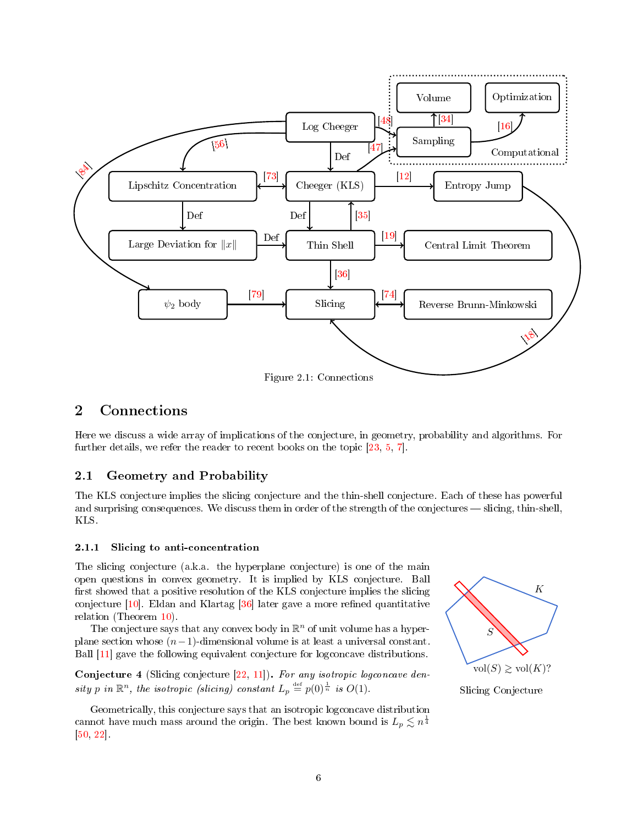

# <span id="page-5-0"></span>2 Connections

Here we discuss a wide array of implications of the conjecture, in geometry, probability and algorithms. For further details, we refer the reader to recent books on the topic [\[23,](#page-24-5) [5,](#page-23-1) [7\]](#page-23-2).

# <span id="page-5-1"></span>2.1 Geometry and Probability

The KLS conjecture implies the slicing conjecture and the thin-shell conjecture. Each of these has powerful and surprising consequences. We discuss them in order of the strength of the conjectures — slicing, thin-shell, KLS.

# <span id="page-5-2"></span>2.1.1 Slicing to anti-concentration

The slicing conjecture (a.k.a. the hyperplane conjecture) is one of the main open questions in convex geometry. It is implied by KLS conjecture. Ball first showed that a positive resolution of the KLS conjecture implies the slicing conjecture  $[10]$ . Eldan and Klartag  $[36]$  later gave a more refined quantitative relation (Theorem [10\)](#page-7-1).

The conjecture says that any convex body in  $\mathbb{R}^n$  of unit volume has a hyperplane section whose  $(n-1)$ -dimensional volume is at least a universal constant. Ball [\[11\]](#page-23-4) gave the following equivalent conjecture for logconcave distributions.

Conjecture 4 (Slicing conjecture  $[22, 11]$  $[22, 11]$  $[22, 11]$ ). For any isotropic logconcave density p in  $\mathbb{R}^n$ , the isotropic (slicing) constant  $L_p \stackrel{\text{def}}{=} p(0)^{\frac{1}{n}}$  is  $O(1)$ .

Geometrically, this conjecture says that an isotropic logconcave distribution cannot have much mass around the origin. The best known bound is  $L_p \lesssim n^{\frac{1}{4}}$ [\[50,](#page-26-3) [22\]](#page-24-6).



Slicing Conjecture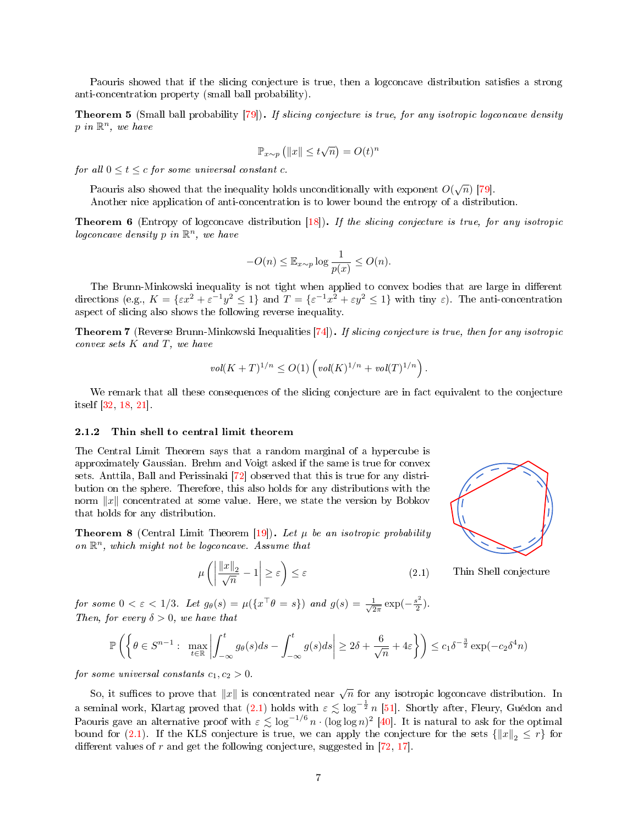Paouris showed that if the slicing conjecture is true, then a logconcave distribution satisfies a strong anti-concentration property (small ball probability).

**Theorem 5** (Small ball probability  $[79]$ ). If slicing conjecture is true, for any isotropic logconcave density  $p$  in  $\mathbb{R}^n$ , we have

$$
\mathbb{P}_{x \sim p} (||x|| \le t\sqrt{n}) = O(t)^n
$$

for all  $0 \leq t \leq c$  for some universal constant c.

Paouris also showed that the inequality holds unconditionally with exponent  $O(\sqrt{n})$  [\[79\]](#page-27-3).

Another nice application of anti-concentration is to lower bound the entropy of a distribution.

Theorem 6 (Entropy of logconcave distribution [\[18\]](#page-24-4)). If the slicing conjecture is true, for any isotropic logconcave density p in  $\mathbb{R}^n$ , we have

$$
-O(n) \leq \mathbb{E}_{x \sim p} \log \frac{1}{p(x)} \leq O(n).
$$

The Brunn-Minkowski inequality is not tight when applied to convex bodies that are large in different directions (e.g.,  $K = \{ \varepsilon x^2 + \varepsilon^{-1} y^2 \le 1 \}$  and  $T = \{ \varepsilon^{-1} x^2 + \varepsilon y^2 \le 1 \}$  with tiny  $\varepsilon$ ). The anti-concentration aspect of slicing also shows the following reverse inequality.

Theorem 7 (Reverse Brunn-Minkowski Inequalities [\[74\]](#page-27-5)). If slicing conjecture is true, then for any isotropic convex sets  $K$  and  $T$ , we have

$$
vol(K+T)^{1/n} \le O(1) \left( vol(K)^{1/n} + vol(T)^{1/n} \right).
$$

We remark that all these consequences of the slicing conjecture are in fact equivalent to the conjecture itself [\[32,](#page-25-6) [18,](#page-24-4) [21\]](#page-24-7).

### <span id="page-6-0"></span>2.1.2 Thin shell to central limit theorem

The Central Limit Theorem says that a random marginal of a hypercube is approximately Gaussian. Brehm and Voigt asked if the same is true for convex sets. Anttila, Ball and Perissinaki [\[72\]](#page-27-7) observed that this is true for any distribution on the sphere. Therefore, this also holds for any distributions with the norm  $||x||$  concentrated at some value. Here, we state the version by Bobkov that holds for any distribution.

**Theorem 8** (Central Limit Theorem [\[19\]](#page-24-3)). Let  $\mu$  be an isotropic probability on  $\mathbb{R}^n$ , which might not be logconcave. Assume that

<span id="page-6-1"></span>
$$
\mu\left(\left|\frac{\|x\|_2}{\sqrt{n}}-1\right|\geq\varepsilon\right)\leq\varepsilon\tag{2.1}
$$



Thin Shell conjecture

for some  $0 < \varepsilon < 1/3$ . Let  $g_{\theta}(s) = \mu(\lbrace x^{\top} \theta = s \rbrace)$  and  $g(s) = \frac{1}{\sqrt{2}}$  $rac{1}{2\pi}$  exp $\left(-\frac{s^2}{2}\right)$  $\frac{1}{2}$ ). Then, for every  $\delta > 0$ , we have that

$$
\mathbb{P}\left(\left\{\theta \in S^{n-1}: \max_{t \in \mathbb{R}} \left|\int_{-\infty}^t g_\theta(s)ds - \int_{-\infty}^t g(s)ds\right| \ge 2\delta + \frac{6}{\sqrt{n}} + 4\varepsilon\right\}\right) \le c_1 \delta^{-\frac{3}{2}} \exp(-c_2 \delta^4 n)
$$

for some universal constants  $c_1, c_2 > 0$ .

So, it suffices to prove that  $||x||$  is concentrated near  $\sqrt{n}$  for any isotropic logconcave distribution. In a seminal work, Klartag proved that [\(2.1\)](#page-6-1) holds with  $\varepsilon \lesssim \log^{-\frac{1}{2}} n$  [\[51\]](#page-26-4). Shortly after, Fleury, Guédon and Paouris gave an alternative proof with  $\varepsilon \lesssim \log^{-1/6} n \cdot (\log \log n)^2$  [\[40\]](#page-25-7). It is natural to ask for the optimal bound for [\(2.1\)](#page-6-1). If the KLS conjecture is true, we can apply the conjecture for the sets  $\{|x|_{2} \leq r\}$  for different values of r and get the following conjecture, suggested in  $[72, 17]$  $[72, 17]$  $[72, 17]$ .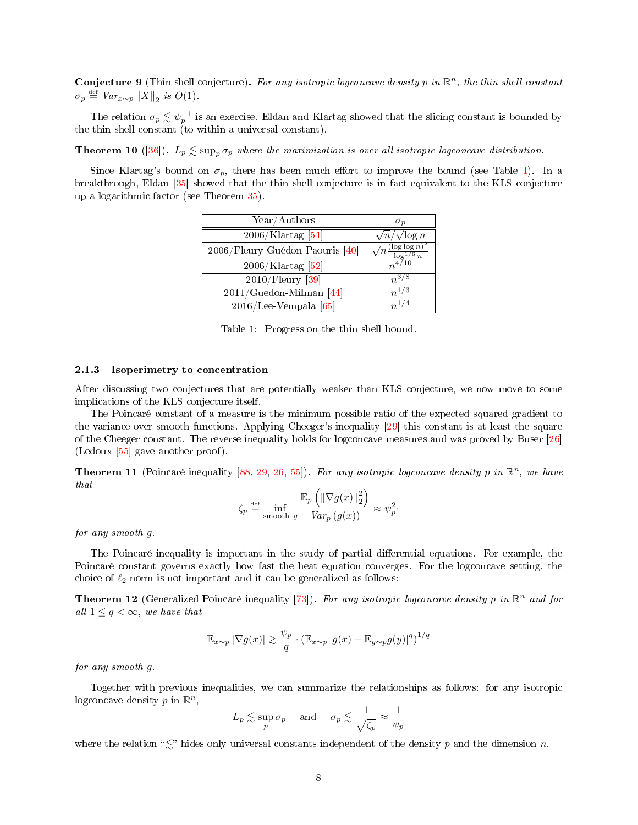Conjecture 9 (Thin shell conjecture). For any isotropic logconcave density p in  $\mathbb{R}^n$ , the thin shell constant  $\sigma_p \stackrel{\text{def}}{=} \text{Var}_{x \sim p} ||X||_2$  is  $O(1)$ .

The relation  $\sigma_p \lesssim \psi_p^{-1}$  is an exercise. Eldan and Klartag showed that the slicing constant is bounded by the thin-shell constant (to within a universal constant).

<span id="page-7-1"></span>**Theorem 10** ([\[36\]](#page-25-1)).  $L_p \leq \sup_n \sigma_p$  where the maximization is over all isotropic logconcave distribution.

<span id="page-7-2"></span>Since Klartag's bound on  $\sigma_p$ , there has been much effort to improve the bound (see Table [1\)](#page-7-2). In a breakthrough, Eldan [\[35\]](#page-25-2) showed that the thin shell conjecture is in fact equivalent to the KLS conjecture up a logarithmic factor (see Theorem [35\)](#page-20-0).

| Year/Authors                    | $\sigma_p$                                      |
|---------------------------------|-------------------------------------------------|
| $\sqrt{2006/K}$ lartag $[51]$   | $\sqrt{n}/\sqrt{\log n}$                        |
| 2006/Fleury-Guédon-Paouris [40] | $\sqrt{n} \frac{(\log \log n)^2}{\log^{1/6} n}$ |
| $2006$ /Klartag [52]            | $n^{4/10}$                                      |
| $2010$ /Fleury [39]             | $n^{3/8}$                                       |
| $2011/Guedon$ -Milman [44]      | $n^{1/3}$                                       |
| $2016$ /Lee-Vempala [65]        | $n^{1/4}$                                       |

Table 1: Progress on the thin shell bound.

#### <span id="page-7-0"></span>2.1.3 Isoperimetry to concentration

After discussing two conjectures that are potentially weaker than KLS conjecture, we now move to some implications of the KLS conjecture itself.

The Poincaré constant of a measure is the minimum possible ratio of the expected squared gradient to the variance over smooth functions. Applying Cheeger's inequality [\[29\]](#page-24-9) this constant is at least the square of the Cheeger constant. The reverse inequality holds for logconcave measures and was proved by Buser [\[26\]](#page-24-10) (Ledoux  $[55]$  gave another proof).

**Theorem 11** (Poincaré inequality [\[88,](#page-27-8) [29,](#page-24-9) [26,](#page-24-10) [55\]](#page-26-7)). For any isotropic logconcave density p in  $\mathbb{R}^n$ , we have that

$$
\zeta_p \stackrel{\text{def}}{=} \inf_{\text{smooth } g} \frac{\mathbb{E}_p \left( \|\nabla g(x)\|_2^2 \right)}{Var_p(g(x))} \approx \psi_p^2.
$$

for any smooth g.

The Poincaré inequality is important in the study of partial differential equations. For example, the Poincaré constant governs exactly how fast the heat equation converges. For the logconcave setting, the choice of  $\ell_2$  norm is not important and it can be generalized as follows:

**Theorem 12** (Generalized Poincaré inequality [\[73\]](#page-27-4)). For any isotropic logconcave density p in  $\mathbb{R}^n$  and for all  $1 \leq q < \infty$ , we have that

$$
\mathbb{E}_{x \sim p} |\nabla g(x)| \gtrsim \frac{\psi_p}{q} \cdot (\mathbb{E}_{x \sim p} |g(x) - \mathbb{E}_{y \sim p} g(y)|^q)^{1/q}
$$

for any smooth g.

Together with previous inequalities, we can summarize the relationships as follows: for any isotropic logconcave density  $p$  in  $\mathbb{R}^n$ ,

$$
L_p \lesssim \sup_p \sigma_p
$$
 and  $\sigma_p \lesssim \frac{1}{\sqrt{\zeta_p}} \approx \frac{1}{\psi_p}$ 

where the relation " $\lesssim$ " hides only universal constants independent of the density p and the dimension n.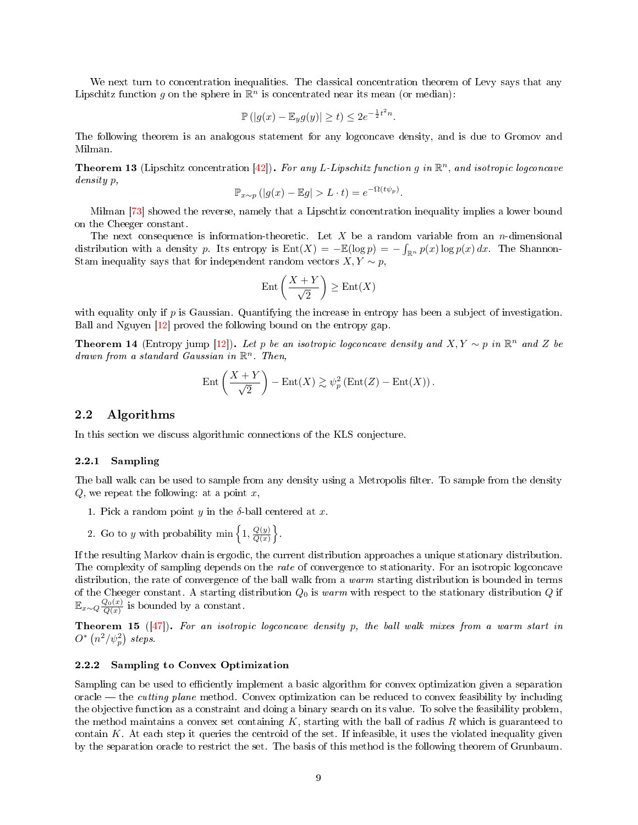We next turn to concentration inequalities. The classical concentration theorem of Levy says that any Lipschitz function g on the sphere in  $\mathbb{R}^n$  is concentrated near its mean (or median):

$$
\mathbb{P}\left(|g(x) - \mathbb{E}_y g(y)| \ge t\right) \le 2e^{-\frac{1}{2}t^2 n}.
$$

The following theorem is an analogous statement for any logconcave density, and is due to Gromov and Milman.

**Theorem 13** (Lipschitz concentration [\[42\]](#page-25-10)). For any L-Lipschitz function g in  $\mathbb{R}^n$ , and isotropic logconcave density p,

$$
\mathbb{P}_{x \sim p} (|g(x) - \mathbb{E}g| > L \cdot t) = e^{-\Omega(t\psi_p)}.
$$

Milman [\[73\]](#page-27-4) showed the reverse, namely that a Lipschtiz concentration inequality implies a lower bound on the Cheeger constant.

The next consequence is information-theoretic. Let  $X$  be a random variable from an n-dimensional distribution with a density p. Its entropy is  $Ent(X) = -\mathbb{E}(\log p) = -\int_{\mathbb{R}^n} p(x) \log p(x) dx$ . The Shannon-Stam inequality says that for independent random vectors  $X, Y \sim p$ ,

$$
\mathrm{Ent}\left(\frac{X+Y}{\sqrt{2}}\right) \ge \mathrm{Ent}(X)
$$

with equality only if  $p$  is Gaussian. Quantifying the increase in entropy has been a subject of investigation. Ball and Nguyen [\[12\]](#page-24-2) proved the following bound on the entropy gap.

**Theorem 14** (Entropy jump [\[12\]](#page-24-2)). Let p be an isotropic logconcave density and  $X, Y \sim p$  in  $\mathbb{R}^n$  and Z be  $d$ rawn from a standard Gaussian in  $\mathbb{R}^n$ . Then,

$$
Ent\left(\frac{X+Y}{\sqrt{2}}\right) - Ent(X) \gtrsim \psi_p^2\left(Ent(Z) - Ent(X)\right).
$$

# <span id="page-8-0"></span>2.2 Algorithms

In this section we discuss algorithmic connections of the KLS conjecture.

### <span id="page-8-1"></span>2.2.1 Sampling

The ball walk can be used to sample from any density using a Metropolis filter. To sample from the density  $Q$ , we repeat the following: at a point x,

- 1. Pick a random point y in the  $\delta$ -ball centered at x.
- 2. Go to y with probability min  $\left\{1, \frac{Q(y)}{Q(x)}\right\}$  $\frac{Q(y)}{Q(x)}$ .

If the resulting Markov chain is ergodic, the current distribution approaches a unique stationary distribution. The complexity of sampling depends on the rate of convergence to stationarity. For an isotropic logconcave distribution, the rate of convergence of the ball walk from a warm starting distribution is bounded in terms of the Cheeger constant. A starting distribution  $Q_0$  is warm with respect to the stationary distribution Q if  $\mathbb{E}_{x \sim Q} \frac{Q_0(x)}{Q(x)}$  is bounded by a constant.

<span id="page-8-3"></span>**Theorem 15** ( $[47]$ ). For an isotropic logconcave density p, the ball walk mixes from a warm start in  $O^*\left(n^2/\psi_p^2\right)$  steps.

### <span id="page-8-2"></span>2.2.2 Sampling to Convex Optimization

Sampling can be used to efficiently implement a basic algorithm for convex optimization given a separation oracle — the *cutting plane* method. Convex optimization can be reduced to convex feasibility by including the objective function as a constraint and doing a binary search on its value. To solve the feasibility problem, the method maintains a convex set containing  $K$ , starting with the ball of radius  $R$  which is guaranteed to contain  $K$ . At each step it queries the centroid of the set. If infeasible, it uses the violated inequality given by the separation oracle to restrict the set. The basis of this method is the following theorem of Grunbaum.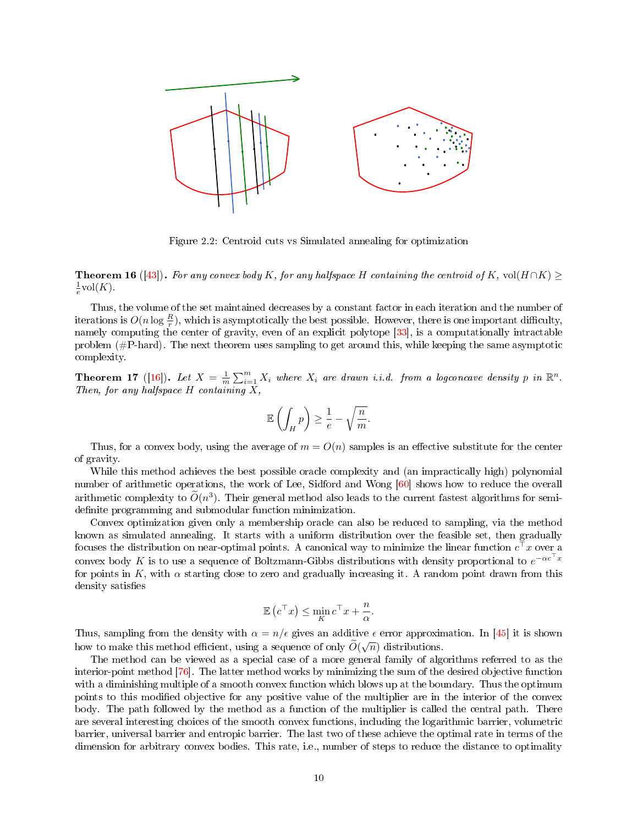

Figure 2.2: Centroid cuts vs Simulated annealing for optimization

**Theorem 16** ([\[43\]](#page-25-11)). For any convex body K, for any halfspace H containing the centroid of K, vol(H ∩K)  $\geq$  $\frac{1}{e}$ vol $(K)$ .

Thus, the volume of the set maintained decreases by a constant factor in each iteration and the number of iterations is  $O(n\log{\frac{R}{r}})$ , which is asymptotically the best possible. However, there is one important difficulty, namely computing the center of gravity, even of an explicit polytope [\[33\]](#page-25-12), is a computationally intractable problem (#P-hard). The next theorem uses sampling to get around this, while keeping the same asymptotic complexity.

**Theorem 17** ([\[16\]](#page-24-1)). Let  $X = \frac{1}{m} \sum_{i=1}^{m} X_i$  where  $X_i$  are drawn i.i.d. from a logconcave density p in  $\mathbb{R}^n$ . Then, for any halfspace  $H$  containing  $X$ ,

$$
\mathbb{E}\left(\int_{H}p\right)\geq \frac{1}{e}-\sqrt{\frac{n}{m}}.
$$

Thus, for a convex body, using the average of  $m = O(n)$  samples is an effective substitute for the center of gravity.

While this method achieves the best possible oracle complexity and (an impractically high) polynomial number of arithmetic operations, the work of Lee, Sidford and Wong [\[60\]](#page-26-8) shows how to reduce the overall arithmetic complexity to  $\tilde{O}(n^3)$ . Their general method also leads to the current fastest algorithms for semidefinite programming and submodular function minimization.

Convex optimization given only a membership oracle can also be reduced to sampling, via the method known as simulated annealing. It starts with a uniform distribution over the feasible set, then gradually focuses the distribution on near-optimal points. A canonical way to minimize the linear function  $c^{\top}x$  over a convex body  $K$  is to use a sequence of Boltzmann-Gibbs distributions with density proportional to  $e^{-\alpha c^\top x}$ for points in K, with  $\alpha$  starting close to zero and gradually increasing it. A random point drawn from this density satisfies

$$
\mathbb{E}\left(c^{\top}x\right) \le \min_{K} c^{\top}x + \frac{n}{\alpha}.
$$

Thus, sampling from the density with  $\alpha = n/\epsilon$  gives an additive  $\epsilon$  error approximation. In [\[45\]](#page-25-13) it is shown how to make this method efficient, using a sequence of only  $\widetilde{O}(\sqrt{n})$  distributions.

The method can be viewed as a special case of a more general family of algorithms referred to as the interior-point method [\[76\]](#page-27-9). The latter method works by minimizing the sum of the desired objective function with a diminishing multiple of a smooth convex function which blows up at the boundary. Thus the optimum points to this modified objective for any positive value of the multiplier are in the interior of the convex body. The path followed by the method as a function of the multiplier is called the central path. There are several interesting choices of the smooth convex functions, including the logarithmic barrier, volumetric barrier, universal barrier and entropic barrier. The last two of these achieve the optimal rate in terms of the dimension for arbitrary convex bodies. This rate, i.e., number of steps to reduce the distance to optimality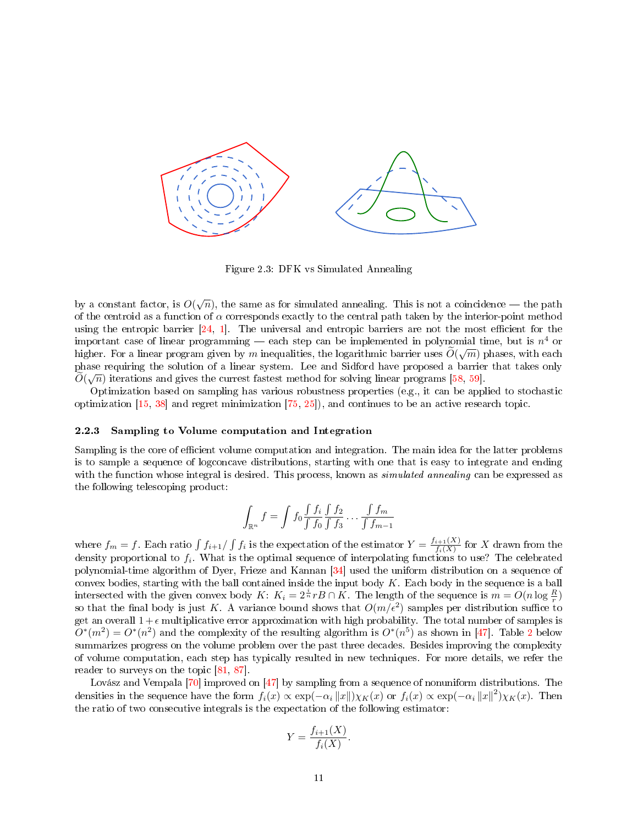

Figure 2.3: DFK vs Simulated Annealing

by a constant factor, is  $O(\sqrt{n})$ , the same as for simulated annealing. This is not a coincidence — the path of the centroid as a function of  $\alpha$  corresponds exactly to the central path taken by the interior-point method using the entropic barrier  $[24, 1]$  $[24, 1]$  $[24, 1]$ . The universal and entropic barriers are not the most efficient for the important case of linear programming — each step can be implemented in polynomial time, but is  $n^4$  or higher. For a linear program given by m inequalities, the logarithmic barrier uses  $O(\sqrt{m})$  phases, with each phase requiring the solution of a linear system. Lee and Sidford have proposed a barrier that takes only  $O(\sqrt{n})$  iterations and gives the currest fastest method for solving linear programs [\[58,](#page-26-9) [59\]](#page-26-10).

Optimization based on sampling has various robustness properties (e.g., it can be applied to stochastic optimization [\[15,](#page-24-12) [38\]](#page-25-14) and regret minimization [\[75,](#page-27-10) [25\]](#page-24-13)), and continues to be an active research topic.

#### <span id="page-10-0"></span>2.2.3 Sampling to Volume computation and Integration

Sampling is the core of efficient volume computation and integration. The main idea for the latter problems is to sample a sequence of logconcave distributions, starting with one that is easy to integrate and ending with the function whose integral is desired. This process, known as *simulated annealing* can be expressed as the following telescoping product:

$$
\int_{\mathbb{R}^n} f = \int f_0 \frac{\int f_i}{\int f_0} \frac{\int f_2}{\int f_3} \dots \frac{\int f_m}{\int f_{m-1}}
$$

where  $f_m = f$ . Each ratio  $\int f_{i+1}/\int f_i$  is the expectation of the estimator  $Y = \frac{f_{i+1}(X)}{f_i(X)}$  $\frac{i+1(X)}{f_i(X)}$  for X drawn from the density proportional to  $f_i$ . What is the optimal sequence of interpolating functions to use? The celebrated polynomial-time algorithm of Dyer, Frieze and Kannan [\[34\]](#page-25-5) used the uniform distribution on a sequence of convex bodies, starting with the ball contained inside the input body  $K$ . Each body in the sequence is a ball intersected with the given convex body  $K: K_i = 2^{\frac{i}{n}} r B \cap K$ . The length of the sequence is  $m = O(n \log \frac{R}{r})$ so that the final body is just K. A variance bound shows that  $O(m/\epsilon^2)$  samples per distribution suffice to get an overall  $1+\epsilon$  multiplicative error approximation with high probability. The total number of samples is  $O^*(m^2) = O^*(n^2)$  $O^*(m^2) = O^*(n^2)$  $O^*(m^2) = O^*(n^2)$  and the complexity of the resulting algorithm is  $O^*(n^5)$  as shown in [\[47\]](#page-25-4). Table 2 below summarizes progress on the volume problem over the past three decades. Besides improving the complexity of volume computation, each step has typically resulted in new techniques. For more details, we refer the reader to surveys on the topic [\[81,](#page-27-11) [87\]](#page-27-12).

Lovász and Vempala [\[70\]](#page-27-13) improved on [\[47\]](#page-25-4) by sampling from a sequence of nonuniform distributions. The densities in the sequence have the form  $f_i(x) \propto \exp(-\alpha_i ||x||) \chi_K(x)$  or  $f_i(x) \propto \exp(-\alpha_i ||x||^2) \chi_K(x)$ . Then the ratio of two consecutive integrals is the expectation of the following estimator:

$$
Y = \frac{f_{i+1}(X)}{f_i(X)}.
$$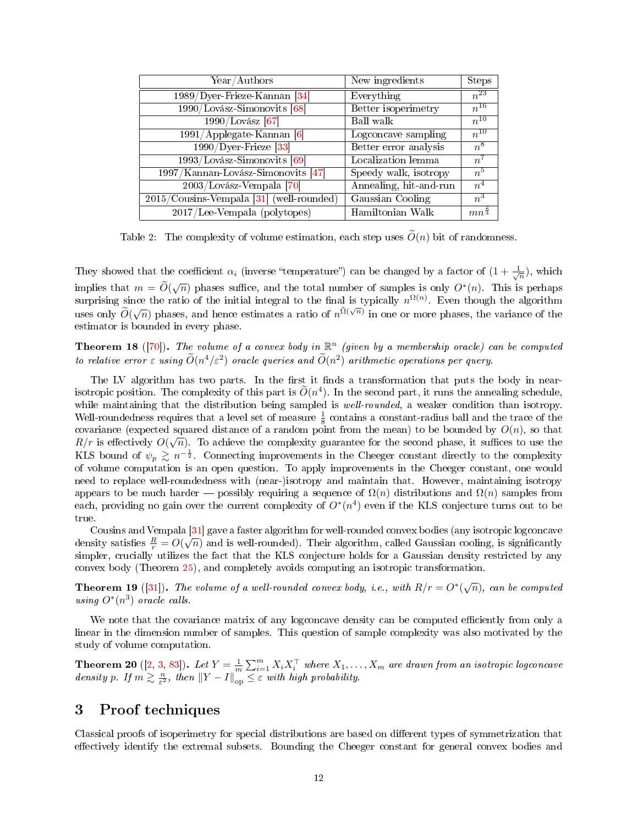<span id="page-11-1"></span>

| Year/Authors                                | New ingredients        | <b>Steps</b>       |
|---------------------------------------------|------------------------|--------------------|
| $1989/D$ yer-Frieze-Kannan [34]             | Everything             | $n^{23}$           |
| 1990/Lovász-Simonovits [68]                 | Better isoperimetry    | $n^{16}$           |
| 1990/Lovász [67]                            | Ball walk              | $n^{10}$           |
| $1991$ /Applegate-Kannan [6]                | Logconcave sampling    | $n^{10}$           |
| $1990/Dyer\text{-}Friez$ e [33]             | Better error analysis  | $n^8$              |
| $1993$ /Lovász-Simonovits [69]              | Localization lemma     | $n^{\gamma}$       |
| $1997/Kannan-Lovász-Simonovits [47]$        | Speedy walk, isotropy  | $n^5$              |
| $\sqrt{2003/L}$ ovász-Vempala [70]          | Annealing, hit-and-run | n <sup>4</sup>     |
| $2015$ /Cousins-Vempala [31] (well-rounded) | Gaussian Cooling       | $n^3$              |
| $2017$ /Lee-Vempala (polytopes)             | Hamiltonian Walk       | $mn^{\frac{2}{3}}$ |

Table 2: The complexity of volume estimation, each step uses  $\tilde{O}(n)$  bit of randomness.

They showed that the coefficient  $\alpha_i$  (inverse "temperature") can be changed by a factor of  $(1+\frac{1}{\sqrt{n}})$ , which implies that  $m = \tilde{O}(\sqrt{n})$  phases suffice, and the total number of samples is only  $O^*(n)$ . This is perhaps surprising since the ratio of the initial integral to the final is typically  $n^{\Omega(n)}$ . Even though the algorithm uses only  $\tilde{O}(\sqrt{n})$  phases, and hence estimates a ratio of  $n^{\tilde{\Omega}(\sqrt{n})}$  in one or more phases, the variance of the estimator is bounded in every phase.

**Theorem 18** ([\[70\]](#page-27-13)). The volume of a convex body in  $\mathbb{R}^n$  (given by a membership oracle) can be computed to relative error  $\varepsilon$  using  $\widetilde{O}(n^4/\varepsilon^2)$  oracle queries and  $\widetilde{O}(n^2)$  arithmetic operations per query.

The LV algorithm has two parts. In the first it finds a transformation that puts the body in nearisotropic position. The complexity of this part is  $\tilde{O}(n^4)$ . In the second part, it runs the annealing schedule, while maintaining that the distribution being sampled is *well-rounded*, a weaker condition than isotropy. Well-roundedness requires that a level set of measure  $\frac{1}{8}$  contains a constant-radius ball and the trace of the covariance (expected squared distance of a random point from the mean) to be bounded by  $O(n)$ , so that  $R/r$  is effectively  $O(\sqrt{n})$ . To achieve the complexity guarantee for the second phase, it suffices to use the KLS bound of  $\psi_p \gtrsim n^{-\frac{1}{2}}$ . Connecting improvements in the Cheeger constant directly to the complexity of volume computation is an open question. To apply improvements in the Cheeger constant, one would need to replace well-roundedness with (near-)isotropy and maintain that. However, maintaining isotropy appears to be much harder  $-$  possibly requiring a sequence of  $\Omega(n)$  distributions and  $\Omega(n)$  samples from each, providing no gain over the current complexity of  $O^*(n^4)$  even if the KLS conjecture turns out to be true.

Cousins and Vempala [\[31\]](#page-25-15) gave a faster algorithm for well-rounded convex bodies (any isotropic logconcave Cousins and Vempala [51] gave a laster algorithm for well-rounded convex bodies (any isotropic logconcave density satisfies  $\frac{R}{r} = O(\sqrt{n})$  and is well-rounded). Their algorithm, called Gaussian cooling, is significantly simpler, crucially utilizes the fact that the KLS conjecture holds for a Gaussian density restricted by any convex body (Theorem [25\)](#page-14-0), and completely avoids computing an isotropic transformation.

**Theorem 19** ([\[31\]](#page-25-15)). The volume of a well-rounded convex body, i.e., with  $R/r = O^*(\sqrt{n})$ , can be computed using  $O^*(n^3)$  oracle calls.

We note that the covariance matrix of any logconcave density can be computed efficiently from only a linear in the dimension number of samples. This question of sample complexity was also motivated by the study of volume computation.

**Theorem 20** ([\[2,](#page-23-7) [3,](#page-23-8) [83\]](#page-27-14)). Let  $Y = \frac{1}{m} \sum_{i=1}^{m} X_i X_i^{\top}$  where  $X_1, \ldots, X_m$  are drawn from an isotropic logconcave density p. If  $m \gtrsim \frac{n}{\varepsilon^2}$ , then  $||Y-I||_{op}^m \leq \varepsilon$  with high probability.

# <span id="page-11-0"></span>3 Proof techniques

Classical proofs of isoperimetry for special distributions are based on dierent types of symmetrization that effectively identify the extremal subsets. Bounding the Cheeger constant for general convex bodies and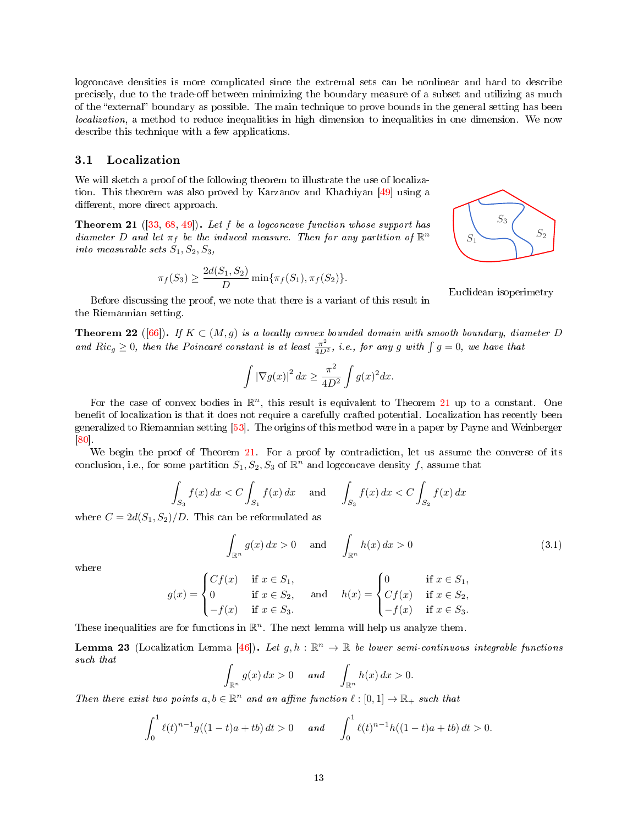logconcave densities is more complicated since the extremal sets can be nonlinear and hard to describe precisely, due to the trade-off between minimizing the boundary measure of a subset and utilizing as much of the "external" boundary as possible. The main technique to prove bounds in the general setting has been *localization*, a method to reduce inequalities in high dimension to inequalities in one dimension. We now describe this technique with a few applications.

# <span id="page-12-0"></span>3.1 Localization

We will sketch a proof of the following theorem to illustrate the use of localization. This theorem was also proved by Karzanov and Khachiyan [\[49\]](#page-25-16) using a different, more direct approach.

<span id="page-12-1"></span>**Theorem 21** ([\[33,](#page-25-12) [68,](#page-26-11) [49\]](#page-25-16)). Let f be a logconcave function whose support has diameter D and let  $\pi_f$  be the induced measure. Then for any partition of  $\mathbb{R}^n$ into measurable sets  $S_1, S_2, S_3,$ 

$$
\pi_f(S_3) \ge \frac{2d(S_1, S_2)}{D} \min{\{\pi_f(S_1), \pi_f(S_2)\}}.
$$

Before discussing the proof, we note that there is a variant of this result in the Riemannian setting.

**Theorem 22** ([\[66\]](#page-26-12)). If  $K \subset (M, g)$  is a locally convex bounded domain with smooth boundary, diameter D and  $Ric_g \geq 0$ , then the Poincaré constant is at least  $\frac{\pi^2}{4D^2}$ , i.e., for any g with  $\int g = 0$ , we have that

$$
\int |\nabla g(x)|^2 dx \ge \frac{\pi^2}{4D^2} \int g(x)^2 dx.
$$

For the case of convex bodies in  $\mathbb{R}^n$ , this result is equivalent to Theorem [21](#page-12-1) up to a constant. One benefit of localization is that it does not require a carefully crafted potential. Localization has recently been generalized to Riemannian setting [\[53\]](#page-26-13). The origins of this method were in a paper by Payne and Weinberger [\[80\]](#page-27-15).

We begin the proof of Theorem [21.](#page-12-1) For a proof by contradiction, let us assume the converse of its conclusion, i.e., for some partition  $S_1, S_2, S_3$  of  $\mathbb{R}^n$  and logconcave density f, assume that

$$
\int_{S_3} f(x) dx < C \int_{S_1} f(x) dx
$$
 and  $\int_{S_3} f(x) dx < C \int_{S_2} f(x) dx$ 

where  $C = 2d(S_1, S_2)/D$ . This can be reformulated as

$$
\int_{\mathbb{R}^n} g(x) dx > 0 \quad \text{and} \quad \int_{\mathbb{R}^n} h(x) dx > 0 \tag{3.1}
$$

where

$$
g(x) = \begin{cases} Cf(x) & \text{if } x \in S_1, \\ 0 & \text{if } x \in S_2, \\ -f(x) & \text{if } x \in S_3. \end{cases} \quad \text{and} \quad h(x) = \begin{cases} 0 & \text{if } x \in S_1, \\ Cf(x) & \text{if } x \in S_2, \\ -f(x) & \text{if } x \in S_3. \end{cases}
$$

These inequalities are for functions in  $\mathbb{R}^n$ . The next lemma will help us analyze them.

**Lemma 23** (Localization Lemma [\[46\]](#page-25-0)). Let  $g, h : \mathbb{R}^n \to \mathbb{R}$  be lower semi-continuous integrable functions such that

$$
\int_{\mathbb{R}^n} g(x) dx > 0 \quad and \quad \int_{\mathbb{R}^n} h(x) dx > 0.
$$

Then there exist two points  $a, b \in \mathbb{R}^n$  and an affine function  $\ell : [0, 1] \to \mathbb{R}_+$  such that

$$
\int_0^1 \ell(t)^{n-1} g((1-t)a + tb) dt > 0 \quad and \quad \int_0^1 \ell(t)^{n-1} h((1-t)a + tb) dt > 0.
$$



 $S_3$ 

 $S_2$ 

Euclidean isoperimetry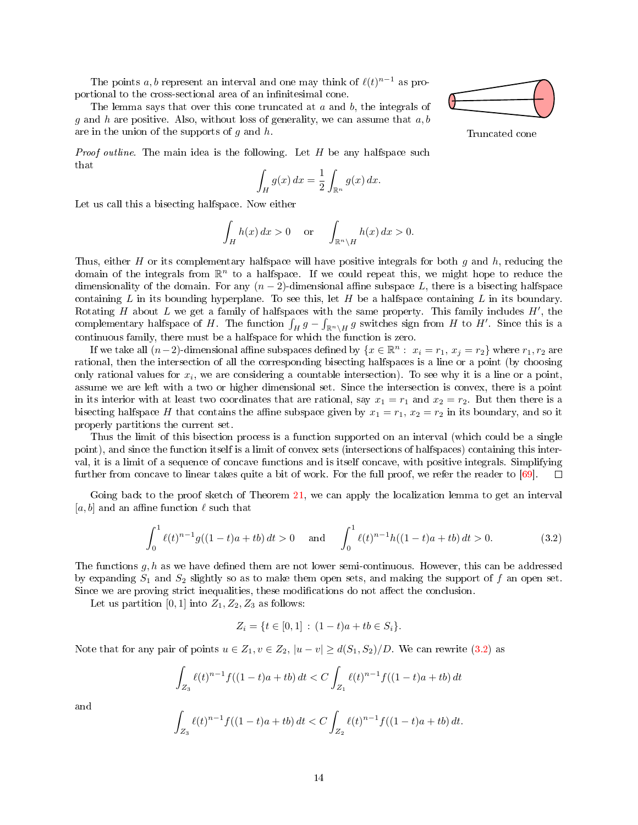The points a, b represent an interval and one may think of  $\ell(t)^{n-1}$  as proportional to the cross-sectional area of an infinitesimal cone.

The lemma says that over this cone truncated at  $a$  and  $b$ , the integrals of g and h are positive. Also, without loss of generality, we can assume that  $a, b$ are in the union of the supports of  $g$  and  $h$ .

*Proof outline.* The main idea is the following. Let  $H$  be any halfspace such that

$$
\int_H g(x) \, dx = \frac{1}{2} \int_{\mathbb{R}^n} g(x) \, dx.
$$

Let us call this a bisecting halfspace. Now either

$$
\int_H h(x) dx > 0 \quad \text{or} \quad \int_{\mathbb{R}^n \setminus H} h(x) dx > 0.
$$

Thus, either H or its complementary halfspace will have positive integrals for both  $g$  and  $h$ , reducing the domain of the integrals from  $\mathbb{R}^n$  to a halfspace. If we could repeat this, we might hope to reduce the dimensionality of the domain. For any  $(n-2)$ -dimensional affine subspace L, there is a bisecting halfspace containing L in its bounding hyperplane. To see this, let H be a halfspace containing L in its boundary. Rotating H about L we get a family of halfspaces with the same property. This family includes  $H'$ , the complementary halfspace of H. The function  $\int_H g - \int_{\mathbb{R}^n \setminus H} g$  switches sign from H to H'. Since this is a continuous family, there must be a halfspace for which the function is zero.

If we take all  $(n-2)$ -dimensional affine subspaces defined by  $\{x \in \mathbb{R}^n : x_i = r_1, x_j = r_2\}$  where  $r_1, r_2$  are rational, then the intersection of all the corresponding bisecting halfspaces is a line or a point (by choosing only rational values for  $x_i$ , we are considering a countable intersection). To see why it is a line or a point, assume we are left with a two or higher dimensional set. Since the intersection is convex, there is a point in its interior with at least two coordinates that are rational, say  $x_1 = r_1$  and  $x_2 = r_2$ . But then there is a bisecting halfspace H that contains the affine subspace given by  $x_1 = r_1$ ,  $x_2 = r_2$  in its boundary, and so it properly partitions the current set.

Thus the limit of this bisection process is a function supported on an interval (which could be a single point), and since the function itself is a limit of convex sets (intersections of halfspaces) containing this interval, it is a limit of a sequence of concave functions and is itself concave, with positive integrals. Simplifying further from concave to linear takes quite a bit of work. For the full proof, we refer the reader to [\[69\]](#page-26-1).  $\Box$ 

Going back to the proof sketch of Theorem [21,](#page-12-1) we can apply the localization lemma to get an interval [a, b] and an affine function  $\ell$  such that

<span id="page-13-0"></span>
$$
\int_0^1 \ell(t)^{n-1} g((1-t)a + tb) dt > 0 \quad \text{and} \quad \int_0^1 \ell(t)^{n-1} h((1-t)a + tb) dt > 0.
$$
 (3.2)

The functions  $g, h$  as we have defined them are not lower semi-continuous. However, this can be addressed by expanding  $S_1$  and  $S_2$  slightly so as to make them open sets, and making the support of f an open set. Since we are proving strict inequalities, these modifications do not affect the conclusion.

Let us partition [0, 1] into  $Z_1, Z_2, Z_3$  as follows:

$$
Z_i = \{ t \in [0,1] : (1-t)a + tb \in S_i \}.
$$

Note that for any pair of points  $u \in Z_1, v \in Z_2, |u - v| \ge d(S_1, S_2)/D$ . We can rewrite [\(3.2\)](#page-13-0) as

$$
\int_{Z_3} \ell(t)^{n-1} f((1-t)a + tb) dt < C \int_{Z_1} \ell(t)^{n-1} f((1-t)a + tb) dt
$$

and

$$
\int_{Z_3} \ell(t)^{n-1} f((1-t)a + tb) dt < C \int_{Z_2} \ell(t)^{n-1} f((1-t)a + tb) dt.
$$



Truncated cone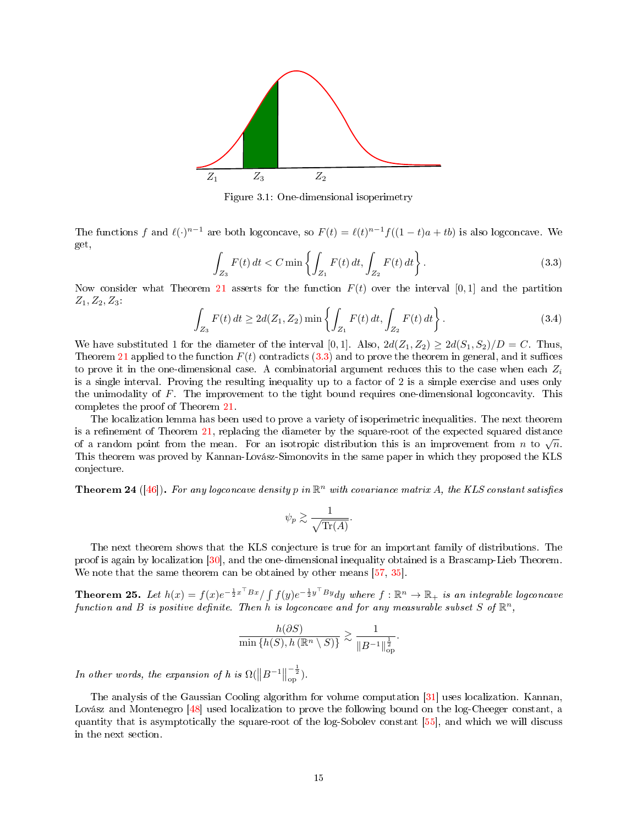

Figure 3.1: One-dimensional isoperimetry

The functions f and  $\ell(\cdot)^{n-1}$  are both logconcave, so  $F(t) = \ell(t)^{n-1}f((1-t)a + tb)$  is also logconcave. We get,

<span id="page-14-1"></span>
$$
\int_{Z_3} F(t) dt < C \min \left\{ \int_{Z_1} F(t) dt, \int_{Z_2} F(t) dt \right\}.
$$
\n(3.3)

Now consider what Theorem [21](#page-12-1) asserts for the function  $F(t)$  over the interval [0, 1] and the partition  $Z_1, Z_2, Z_3$ 

$$
\int_{Z_3} F(t) dt \ge 2d(Z_1, Z_2) \min \left\{ \int_{Z_1} F(t) dt, \int_{Z_2} F(t) dt \right\}.
$$
\n(3.4)

We have substituted 1 for the diameter of the interval [0, 1]. Also,  $2d(Z_1, Z_2) \geq 2d(S_1, S_2)/D = C$ . Thus, Theorem [21](#page-12-1) applied to the function  $F(t)$  contradicts [\(3.3\)](#page-14-1) and to prove the theorem in general, and it suffices to prove it in the one-dimensional case. A combinatorial argument reduces this to the case when each  $Z_i$ is a single interval. Proving the resulting inequality up to a factor of 2 is a simple exercise and uses only the unimodality of  $F$ . The improvement to the tight bound requires one-dimensional logconcavity. This completes the proof of Theorem [21.](#page-12-1)

The localization lemma has been used to prove a variety of isoperimetric inequalities. The next theorem is a refinement of Theorem  $21$ , replacing the diameter by the square-root of the expected squared distance is a remement of Theorem 21, replacing the diameter by the square-root of the expected squared distance<br>of a random point from the mean. For an isotropic distribution this is an improvement from n to  $\sqrt{n}$ . This theorem was proved by Kannan-Lovász-Simonovits in the same paper in which they proposed the KLS conjecture.

**Theorem 24** ([\[46\]](#page-25-0)). For any logconcave density p in  $\mathbb{R}^n$  with covariance matrix A, the KLS constant satisfies

$$
\psi_p \gtrsim \frac{1}{\sqrt{\text{Tr}(A)}}.
$$

The next theorem shows that the KLS conjecture is true for an important family of distributions. The proof is again by localization [\[30\]](#page-24-14), and the one-dimensional inequality obtained is a Brascamp-Lieb Theorem. We note that the same theorem can be obtained by other means [\[57,](#page-26-14) [35\]](#page-25-2).

<span id="page-14-0"></span>Theorem 25. Let  $h(x) = f(x)e^{-\frac{1}{2}x^\top B x}/\int f(y)e^{-\frac{1}{2}y^\top B y} dy$  where  $f : \mathbb{R}^n \to \mathbb{R}_+$  is an integrable logconcave function and B is positive definite. Then h is logconcave and for any measurable subset S of  $\mathbb{R}^n$ ,

$$
\frac{h(\partial S)}{\min\left\{h(S), h\left(\mathbb{R}^n \setminus S\right)\right\}} \gtrsim \frac{1}{\|B^{-1}\|_{\text{op}}^{\frac{1}{2}}}.
$$

In other words, the expansion of h is  $\Omega(\left\|B^{-1}\right\|)$  $\frac{-\frac{1}{2}}{\text{op}}$ ).

The analysis of the Gaussian Cooling algorithm for volume computation [\[31\]](#page-25-15) uses localization. Kannan, Lovász and Montenegro [\[48\]](#page-25-3) used localization to prove the following bound on the log-Cheeger constant, a quantity that is asymptotically the square-root of the log-Sobolev constant [\[55\]](#page-26-7), and which we will discuss in the next section.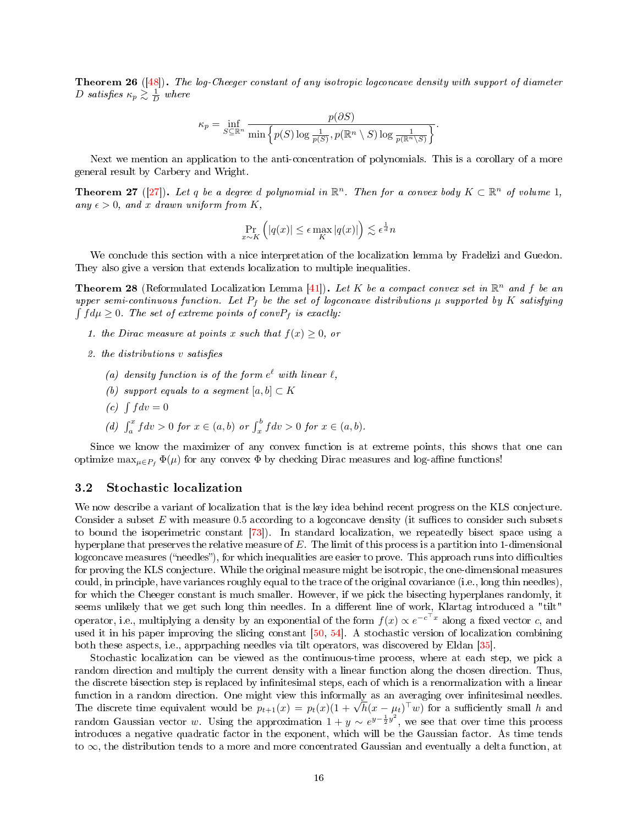<span id="page-15-1"></span>**Theorem 26** ( $[48]$ ). The log-Cheeger constant of any isotropic logconcave density with support of diameter D satisfies  $\kappa_p \gtrsim \frac{1}{D}$  where

$$
\kappa_p = \inf_{S \subseteq \mathbb{R}^n} \frac{p(\partial S)}{\min \left\{p(S) \log \frac{1}{p(S)}, p(\mathbb{R}^n \setminus S) \log \frac{1}{p(\mathbb{R}^n \setminus S)}}\right\}}.
$$

Next we mention an application to the anti-concentration of polynomials. This is a corollary of a more general result by Carbery and Wright.

**Theorem 27** ([\[27\]](#page-24-15)). Let q be a degree d polynomial in  $\mathbb{R}^n$ . Then for a convex body  $K \subset \mathbb{R}^n$  of volume 1, any  $\epsilon > 0$ , and x drawn uniform from K,

$$
\Pr_{x \sim K} \left( |q(x)| \le \epsilon \max_{K} |q(x)| \right) \lesssim \epsilon^{\frac{1}{d}} n
$$

We conclude this section with a nice interpretation of the localization lemma by Fradelizi and Guedon. They also give a version that extends localization to multiple inequalities.

**Theorem 28** (Reformulated Localization Lemma [\[41\]](#page-25-17)). Let K be a compact convex set in  $\mathbb{R}^n$  and f be an upper semi-continuous function. Let  $P_f$  be the set of logconcave distributions  $\mu$  supported by K satisfying  $\int f d\mu \geq 0$ . The set of extreme points of conv $P_f$  is exactly:

- 1. the Dirac measure at points x such that  $f(x) \geq 0$ , or
- 2. the distributions  $v$  satisfies
	- (a) density function is of the form  $e^{\ell}$  with linear  $\ell$ ,
	- (b) support equals to a segment  $[a, b] \subset K$
	- (c)  $\int f dv = 0$
	- (d)  $\int_a^x f dv > 0$  for  $x \in (a, b)$  or  $\int_x^b f dv > 0$  for  $x \in (a, b)$ .

Since we know the maximizer of any convex function is at extreme points, this shows that one can optimize  $\max_{\mu \in P_f} \Phi(\mu)$  for any convex  $\Phi$  by checking Dirac measures and log-affine functions!

### <span id="page-15-0"></span>3.2 Stochastic localization

We now describe a variant of localization that is the key idea behind recent progress on the KLS conjecture. Consider a subset  $E$  with measure 0.5 according to a logconcave density (it suffices to consider such subsets to bound the isoperimetric constant [\[73\]](#page-27-4)). In standard localization, we repeatedly bisect space using a hyperplane that preserves the relative measure of E. The limit of this process is a partition into 1-dimensional logconcave measures ("needles"), for which inequalities are easier to prove. This approach runs into difficulties for proving the KLS conjecture. While the original measure might be isotropic, the one-dimensional measures could, in principle, have variances roughly equal to the trace of the original covariance (i.e., long thin needles), for which the Cheeger constant is much smaller. However, if we pick the bisecting hyperplanes randomly, it seems unlikely that we get such long thin needles. In a different line of work, Klartag introduced a "tilt" operator, i.e., multiplying a density by an exponential of the form  $f(x) \propto e^{-c^\top x}$  along a fixed vector  $c$ , and used it in his paper improving the slicing constant [\[50,](#page-26-3) [54\]](#page-26-15). A stochastic version of localization combining both these aspects, i.e., apprpaching needles via tilt operators, was discovered by Eldan [\[35\]](#page-25-2).

Stochastic localization can be viewed as the continuous-time process, where at each step, we pick a random direction and multiply the current density with a linear function along the chosen direction. Thus, the discrete bisection step is replaced by infinitesimal steps, each of which is a renormalization with a linear function in a random direction. One might view this informally as an averaging over infinitesimal needles. tunction in a random direction. One might view this informally as an averaging over infinitesimal needles.<br>The discrete time equivalent would be  $p_{t+1}(x) = p_t(x) (1 + \sqrt{h}(x - \mu_t)^{\top} w)$  for a sufficiently small h and random Gaussian vector w. Using the approximation  $1 + y \sim e^{y - \frac{1}{2}y^2}$ , we see that over time this process introduces a negative quadratic factor in the exponent, which will be the Gaussian factor. As time tends to ∞, the distribution tends to a more and more concentrated Gaussian and eventually a delta function, at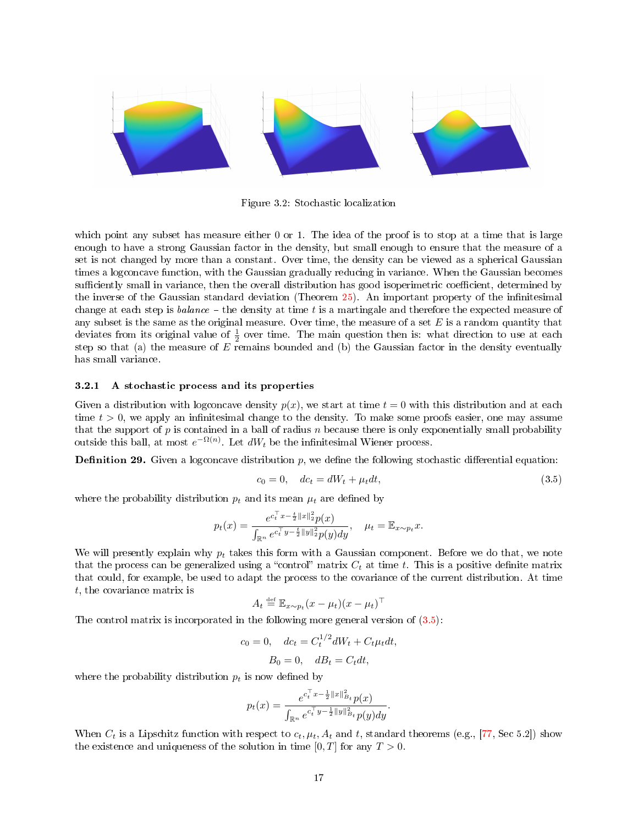

Figure 3.2: Stochastic localization

which point any subset has measure either 0 or 1. The idea of the proof is to stop at a time that is large enough to have a strong Gaussian factor in the density, but small enough to ensure that the measure of a set is not changed by more than a constant. Over time, the density can be viewed as a spherical Gaussian times a logconcave function, with the Gaussian gradually reducing in variance. When the Gaussian becomes sufficiently small in variance, then the overall distribution has good isoperimetric coefficient, determined by the inverse of the Gaussian standard deviation (Theorem [25\)](#page-14-0). An important property of the infinitesimal change at each step is balance  $-$  the density at time t is a martingale and therefore the expected measure of any subset is the same as the original measure. Over time, the measure of a set  $E$  is a random quantity that deviates from its original value of  $\frac{1}{2}$  over time. The main question then is: what direction to use at each step so that (a) the measure of  $E$  remains bounded and (b) the Gaussian factor in the density eventually has small variance.

### <span id="page-16-0"></span>3.2.1 A stochastic process and its properties

Given a distribution with logconcave density  $p(x)$ , we start at time  $t = 0$  with this distribution and at each time  $t > 0$ , we apply an infinitesimal change to the density. To make some proofs easier, one may assume that the support of  $p$  is contained in a ball of radius  $n$  because there is only exponentially small probability outside this ball, at most  $e^{-\Omega(n)}$ . Let  $dW_t$  be the infinitesimal Wiener process.

**Definition 29.** Given a logconcave distribution  $p$ , we define the following stochastic differential equation:

<span id="page-16-1"></span>
$$
c_0 = 0, \quad dc_t = dW_t + \mu_t dt,\tag{3.5}
$$

where the probability distribution  $p_t$  and its mean  $\mu_t$  are defined by

$$
p_t(x) = \frac{e^{c_t^\top x - \frac{t}{2} ||x||_2^2} p(x)}{\int_{\mathbb{R}^n} e^{c_t^\top y - \frac{t}{2} ||y||_2^2} p(y) dy}, \quad \mu_t = \mathbb{E}_{x \sim p_t} x.
$$

We will presently explain why  $p_t$  takes this form with a Gaussian component. Before we do that, we note that the process can be generalized using a "control" matrix  $C_t$  at time t. This is a positive definite matrix that could, for example, be used to adapt the process to the covariance of the current distribution. At time t, the covariance matrix is

$$
A_t \stackrel{\text{def}}{=} \mathbb{E}_{x \sim p_t} (x - \mu_t) (x - \mu_t)^\top
$$

The control matrix is incorporated in the following more general version of [\(3.5\)](#page-16-1):

$$
c_0 = 0, \quad dc_t = C_t^{1/2} dW_t + C_t \mu_t dt,
$$

$$
B_0 = 0, \quad dB_t = C_t dt,
$$

where the probability distribution  $p_t$  is now defined by

$$
p_t(x) = \frac{e^{c_t^\top x - \frac{1}{2}||x||^2_{B_t}} p(x)}{\int_{\mathbb{R}^n} e^{c_t^\top y - \frac{1}{2}||y||^2_{B_t}} p(y) dy}.
$$

When  $C_t$  is a Lipschitz function with respect to  $c_t, \mu_t, A_t$  and t, standard theorems (e.g., [\[77,](#page-27-16) Sec 5.2]) show the existence and uniqueness of the solution in time  $[0, T]$  for any  $T > 0$ .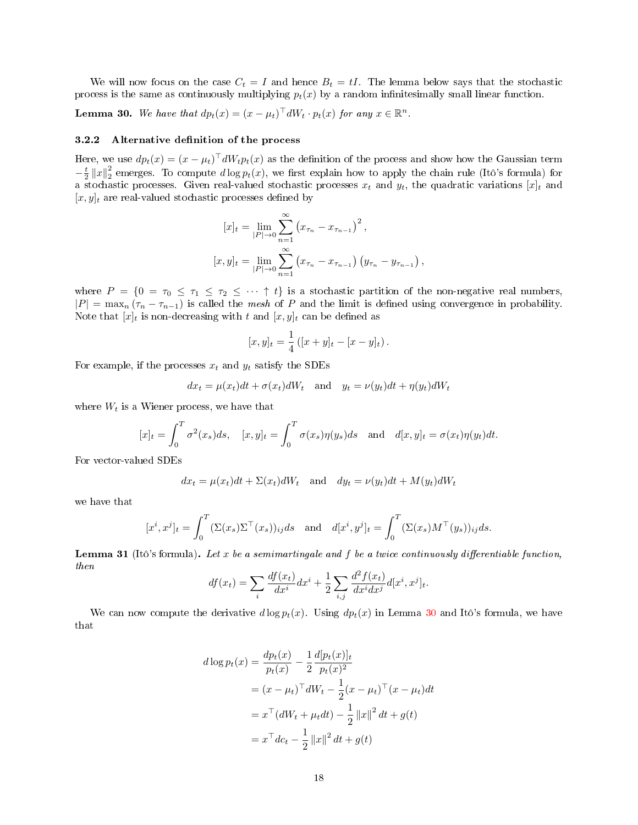We will now focus on the case  $C_t = I$  and hence  $B_t = tI$ . The lemma below says that the stochastic process is the same as continuously multiplying  $p_t(x)$  by a random infinitesimally small linear function.

<span id="page-17-1"></span>**Lemma 30.** We have that  $dp_t(x) = (x - \mu_t)^{\top} dW_t \cdot p_t(x)$  for any  $x \in \mathbb{R}^n$ .

# <span id="page-17-0"></span>3.2.2 Alternative definition of the process

Here, we use  $dp_t(x) = (x - \mu_t)^{\top} dW_t p_t(x)$  as the definition of the process and show how the Gaussian term  $-\frac{t}{2} ||x||_2^2$  emerges. To compute  $d \log p_t(x)$ , we first explain how to apply the chain rule (Itô's formula) for a stochastic processes. Given real-valued stochastic processes  $x_t$  and  $y_t$ , the quadratic variations  $[x]_t$  and  $[x, y]_t$  are real-valued stochastic processes defined by

$$
[x]_t = \lim_{|P| \to 0} \sum_{n=1}^{\infty} (x_{\tau_n} - x_{\tau_{n-1}})^2,
$$
  

$$
[x, y]_t = \lim_{|P| \to 0} \sum_{n=1}^{\infty} (x_{\tau_n} - x_{\tau_{n-1}}) (y_{\tau_n} - y_{\tau_{n-1}}),
$$

where  $P = \{0 = \tau_0 \leq \tau_1 \leq \tau_2 \leq \cdots \uparrow t\}$  is a stochastic partition of the non-negative real numbers,  $|P| = \max_n (\tau_n - \tau_{n-1})$  is called the mesh of P and the limit is defined using convergence in probability. Note that  $[x]_t$  is non-decreasing with t and  $[x, y]_t$  can be defined as

$$
[x, y]_t = \frac{1}{4} ([x + y]_t - [x - y]_t).
$$

For example, if the processes  $x_t$  and  $y_t$  satisfy the SDEs

$$
dx_t = \mu(x_t)dt + \sigma(x_t)dW_t
$$
 and  $y_t = \nu(y_t)dt + \eta(y_t)dW_t$ 

where  $W_t$  is a Wiener process, we have that

$$
[x]_t = \int_0^T \sigma^2(x_s) ds, \quad [x, y]_t = \int_0^T \sigma(x_s) \eta(y_s) ds \quad \text{and} \quad d[x, y]_t = \sigma(x_t) \eta(y_t) dt.
$$

For vector-valued SDEs

$$
dx_t = \mu(x_t)dt + \Sigma(x_t)dW_t
$$
 and  $dy_t = \nu(y_t)dt + M(y_t)dW_t$ 

we have that

$$
[x^i, x^j]_t = \int_0^T (\Sigma(x_s) \Sigma^\top(x_s))_{ij} ds \text{ and } d[x^i, y^j]_t = \int_0^T (\Sigma(x_s) M^\top(y_s))_{ij} ds.
$$

**Lemma 31** (Itô's formula). Let x be a semimartingale and f be a twice continuously differentiable function, then

$$
df(x_t) = \sum_{i} \frac{df(x_t)}{dx^i} dx^i + \frac{1}{2} \sum_{i,j} \frac{d^2 f(x_t)}{dx^i dx^j} d[x^i, x^j]_t.
$$

We can now compute the derivative  $d \log p_t(x)$ . Using  $dp_t(x)$  in Lemma [30](#page-17-1) and Itô's formula, we have that

$$
d \log p_t(x) = \frac{dp_t(x)}{p_t(x)} - \frac{1}{2} \frac{d[p_t(x)]_t}{p_t(x)^2}
$$
  
=  $(x - \mu_t)^\top dW_t - \frac{1}{2} (x - \mu_t)^\top (x - \mu_t) dt$   
=  $x^\top (dW_t + \mu_t dt) - \frac{1}{2} ||x||^2 dt + g(t)$   
=  $x^\top dc_t - \frac{1}{2} ||x||^2 dt + g(t)$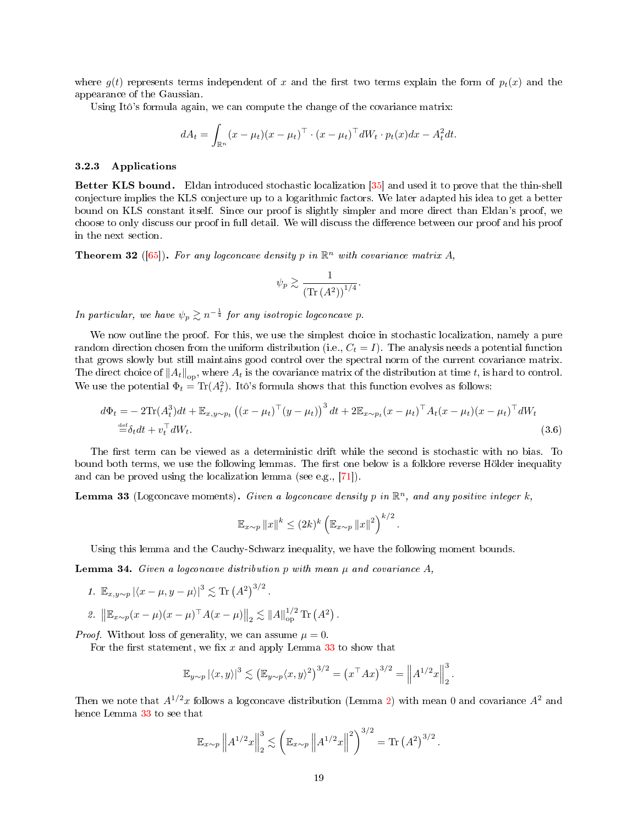where  $q(t)$  represents terms independent of x and the first two terms explain the form of  $p_t(x)$  and the appearance of the Gaussian.

Using Itô's formula again, we can compute the change of the covariance matrix:

$$
dA_t = \int_{\mathbb{R}^n} (x - \mu_t)(x - \mu_t)^\top \cdot (x - \mu_t)^\top dW_t \cdot p_t(x) dx - A_t^2 dt.
$$

### <span id="page-18-0"></span>3.2.3 Applications

Better KLS bound. Eldan introduced stochastic localization [\[35\]](#page-25-2) and used it to prove that the thin-shell conjecture implies the KLS conjecture up to a logarithmic factors. We later adapted his idea to get a better bound on KLS constant itself. Since our proof is slightly simpler and more direct than Eldan's proof, we choose to only discuss our proof in full detail. We will discuss the difference between our proof and his proof in the next section.

<span id="page-18-4"></span>**Theorem 32** ([\[65\]](#page-26-6)). For any logconcave density p in  $\mathbb{R}^n$  with covariance matrix A,

<span id="page-18-2"></span>
$$
\psi_p \gtrsim \frac{1}{\left( \text{Tr}\left(A^2\right) \right)^{1/4}}.
$$

In particular, we have  $\psi_p \gtrsim n^{-\frac{1}{4}}$  for any isotropic logconcave p.

We now outline the proof. For this, we use the simplest choice in stochastic localization, namely a pure random direction chosen from the uniform distribution (i.e.,  $C_t = I$ ). The analysis needs a potential function that grows slowly but still maintains good control over the spectral norm of the current covariance matrix. The direct choice of  $||A_t||_{op}$ , where  $A_t$  is the covariance matrix of the distribution at time t, is hard to control. We use the potential  $\Phi_t = \text{Tr}(A_t^2)$ . Itô's formula shows that this function evolves as follows:

$$
d\Phi_t = -2\text{Tr}(A_t^3)dt + \mathbb{E}_{x,y \sim p_t} ((x - \mu_t)^{\top} (y - \mu_t))^3 dt + 2\mathbb{E}_{x \sim p_t} (x - \mu_t)^{\top} A_t (x - \mu_t) (x - \mu_t)^{\top} dW_t
$$
  
\n
$$
\stackrel{\text{def}}{=} \delta_t dt + v_t^{\top} dW_t.
$$
\n(3.6)

The first term can be viewed as a deterministic drift while the second is stochastic with no bias. To bound both terms, we use the following lemmas. The first one below is a folklore reverse Hölder inequality and can be proved using the localization lemma (see e.g., [\[71\]](#page-27-17)).

<span id="page-18-1"></span>**Lemma 33** (Logconcave moments). Given a logconcave density p in  $\mathbb{R}^n$ , and any positive integer k,

$$
\mathbb{E}_{x \sim p} \|x\|^k \le (2k)^k \left(\mathbb{E}_{x \sim p} \|x\|^2\right)^{k/2}.
$$

Using this lemma and the Cauchy-Schwarz inequality, we have the following moment bounds.

<span id="page-18-3"></span>**Lemma 34.** Given a logconcave distribution p with mean  $\mu$  and covariance A,

1. 
$$
\mathbb{E}_{x,y \sim p} |\langle x - \mu, y - \mu \rangle|^3 \lesssim \text{Tr} (A^2)^{3/2}.
$$

2.  $\|\mathbb{E}_{x \sim p}(x - \mu)(x - \mu)^{\top} A(x - \mu)\|_2 \lesssim \|A\|_{op}^{1/2} \text{Tr}(A^2).$ 

*Proof.* Without loss of generality, we can assume  $\mu = 0$ .

For the first statement, we fix  $x$  and apply Lemma  $33$  to show that

$$
\mathbb{E}_{y \sim p} |\langle x, y \rangle|^3 \lesssim \left( \mathbb{E}_{y \sim p} \langle x, y \rangle^2 \right)^{3/2} = \left( x^\top A x \right)^{3/2} = \left\| A^{1/2} x \right\|_2^3.
$$

Then we note that  $A^{1/2}x$  follows a logconcave distribution (Lemma [2\)](#page-3-3) with mean 0 and covariance  $A^2$  and hence Lemma [33](#page-18-1) to see that

$$
\mathbb{E}_{x \sim p} \|A^{1/2}x\|_2^3 \lesssim \left(\mathbb{E}_{x \sim p} \|A^{1/2}x\|^2\right)^{3/2} = \text{Tr}(A^2)^{3/2}.
$$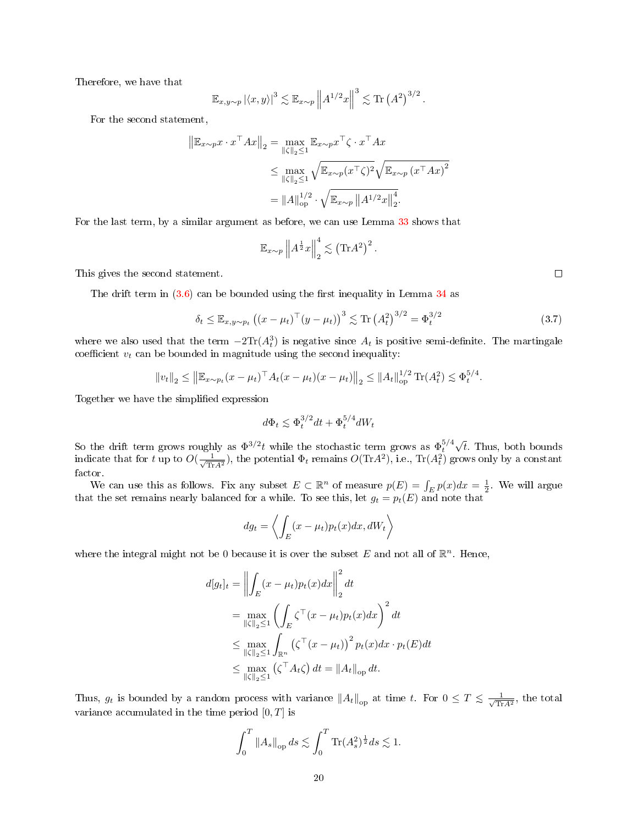Therefore, we have that

$$
\mathbb{E}_{x,y \sim p} |\langle x,y \rangle|^3 \lesssim \mathbb{E}_{x \sim p} \left\| A^{1/2} x \right\|^3 \lesssim \text{Tr} (A^2)^{3/2}.
$$

For the second statement,

$$
\|\mathbb{E}_{x \sim p} x \cdot x^{\top} A x\|_{2} = \max_{\|\zeta\|_{2} \le 1} \mathbb{E}_{x \sim p} x^{\top} \zeta \cdot x^{\top} A x
$$
  
\n
$$
\le \max_{\|\zeta\|_{2} \le 1} \sqrt{\mathbb{E}_{x \sim p} (x^{\top} \zeta)^{2}} \sqrt{\mathbb{E}_{x \sim p} (x^{\top} A x)^{2}}
$$
  
\n
$$
= \|A\|_{\text{op}}^{1/2} \cdot \sqrt{\mathbb{E}_{x \sim p} \|A^{1/2} x\|_{2}^{4}}.
$$

For the last term, by a similar argument as before, we can use Lemma [33](#page-18-1) shows that

$$
\mathbb{E}_{x \sim p} \left\| A^{\frac{1}{2}} x \right\|_{2}^{4} \lesssim \left( \text{Tr} A^{2} \right)^{2}.
$$

This gives the second statement.

The drift term in  $(3.6)$  can be bounded using the first inequality in Lemma [34](#page-18-3) as

$$
\delta_t \le \mathbb{E}_{x, y \sim p_t} ((x - \mu_t)^{\top} (y - \mu_t))^3 \lesssim \text{Tr} (A_t^2)^{3/2} = \Phi_t^{3/2}
$$
 (3.7)

where we also used that the term  $-2\text{Tr}(A_t^3)$  is negative since  $A_t$  is positive semi-definite. The martingale coefficient  $v_t$  can be bounded in magnitude using the second inequality:

$$
||v_t||_2 \le ||\mathbb{E}_{x \sim p_t} (x - \mu_t)^\top A_t (x - \mu_t)(x - \mu_t)||_2 \le ||A_t||_{op}^{1/2} \text{Tr}(A_t^2) \lesssim \Phi_t^{5/4}.
$$

Together we have the simplified expression

$$
d\Phi_t \le \Phi_t^{3/2} dt + \Phi_t^{5/4} dW_t
$$

So the drift term grows roughly as  $\Phi^{3/2}t$  while the stochastic term grows as  $\Phi_t^{5/4}$ √ t. Thus, both bounds indicate that for t up to  $O(\frac{1}{\sqrt{m}})$  $\frac{1}{\text{Tr}A^2}$ ), the potential  $\Phi_t$  remains  $O(\text{Tr}A^2)$ , i.e.,  $\text{Tr}(A_t^2)$  grows only by a constant factor.

We can use this as follows. Fix any subset  $E \subset \mathbb{R}^n$  of measure  $p(E) = \int_E p(x) dx = \frac{1}{2}$ . We will argue that the set remains nearly balanced for a while. To see this, let  $g_t = p_t(E)$  and note that

$$
dg_t = \left\langle \int_E (x - \mu_t) p_t(x) dx, dW_t \right\rangle
$$

where the integral might not be 0 because it is over the subset E and not all of  $\mathbb{R}^n$ . Hence,

$$
d[g_t]_t = \left\| \int_E (x - \mu_t) p_t(x) dx \right\|_2^2 dt
$$
  
\n
$$
= \max_{\|\zeta\|_2 \le 1} \left( \int_E \zeta^\top (x - \mu_t) p_t(x) dx \right)^2 dt
$$
  
\n
$$
\le \max_{\|\zeta\|_2 \le 1} \int_{\mathbb{R}^n} \left( \zeta^\top (x - \mu_t) \right)^2 p_t(x) dx \cdot p_t(E) dt
$$
  
\n
$$
\le \max_{\|\zeta\|_2 \le 1} \left( \zeta^\top A_t \zeta \right) dt = \|A_t\|_{\text{op}} dt.
$$

Thus,  $g_t$  is bounded by a random process with variance  $||A_t||_{op}$  at time t. For  $0 \le T \le \frac{1}{\sqrt{Tr}}$  $\frac{1}{\text{Tr}A^2}$ , the total variance accumulated in the time period  $[0, T]$  is

$$
\int_0^T \|A_s\|_{\text{op}} ds \lesssim \int_0^T \text{Tr}(A_s^2)^{\frac{1}{2}} ds \lesssim 1.
$$

 $\Box$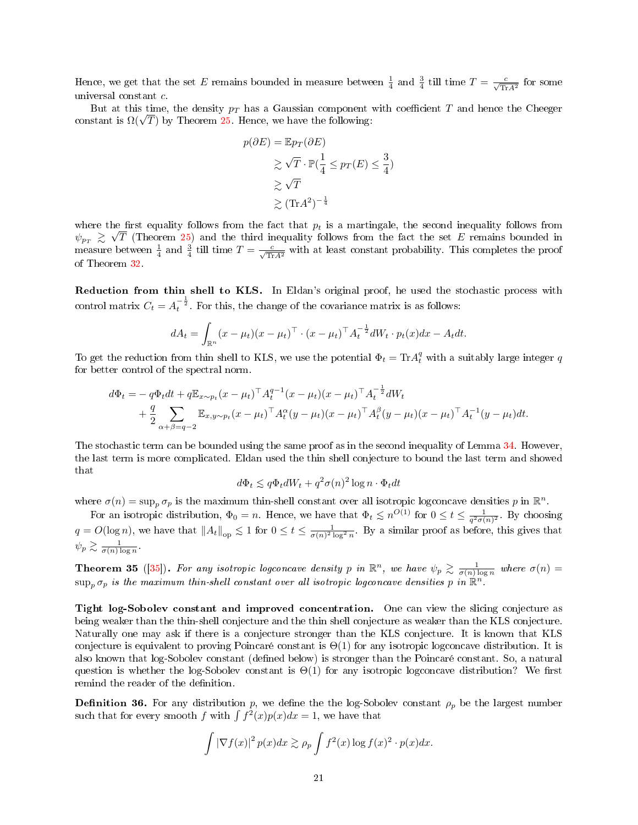Hence, we get that the set E remains bounded in measure between  $\frac{1}{4}$  and  $\frac{3}{4}$  till time  $T = \frac{c}{\sqrt{\text{Tr}A^2}}$  for some universal constant c.

But at this time, the density  $p_T$  has a Gaussian component with coefficient T and hence the Cheeger But at this time, the density  $p_T$  has a Gaussian component<br>constant is  $\Omega(\sqrt{T})$  by Theorem [25.](#page-14-0) Hence, we have the following:

$$
p(\partial E) = \mathbb{E}p_T(\partial E)
$$
  
\n
$$
\geq \sqrt{T} \cdot \mathbb{P}(\frac{1}{4} \leq p_T(E) \leq \frac{3}{4})
$$
  
\n
$$
\geq \sqrt{T}
$$
  
\n
$$
\geq (\text{Tr}A^2)^{-\frac{1}{4}}
$$

where the first equality follows from the fact that  $p_t$  is a martingale, the second inequality follows from  $\psi_{p_T} \ \gtrsim \ \sqrt{T}$  (Theorem [25\)](#page-14-0) and the third inequality follows from the fact the set E remains bounded in measure between  $\frac{1}{4}$  and  $\frac{3}{4}$  till time  $T = \frac{c}{\sqrt{\text{Tr}A^2}}$  with at least constant probability. This completes the proof of Theorem [32.](#page-18-4)

Reduction from thin shell to KLS. In Eldan's original proof, he used the stochastic process with control matrix  $C_t = A_t^{-\frac{1}{2}}$ . For this, the change of the covariance matrix is as follows:

$$
dA_t = \int_{\mathbb{R}^n} (x - \mu_t)(x - \mu_t)^\top \cdot (x - \mu_t)^\top A_t^{-\frac{1}{2}} dW_t \cdot p_t(x) dx - A_t dt.
$$

To get the reduction from thin shell to KLS, we use the potential  $\Phi_t = \text{Tr} A_t^q$  with a suitably large integer  $q$ for better control of the spectral norm.

$$
d\Phi_t = -q\Phi_t dt + q\mathbb{E}_{x \sim p_t}(x - \mu_t)^{\top} A_t^{q-1} (x - \mu_t)(x - \mu_t)^{\top} A_t^{-\frac{1}{2}} dW_t + \frac{q}{2} \sum_{\alpha + \beta = q-2} \mathbb{E}_{x, y \sim p_t} (x - \mu_t)^{\top} A_t^{\alpha} (y - \mu_t)(x - \mu_t)^{\top} A_t^{\beta} (y - \mu_t)(x - \mu_t)^{\top} A_t^{-1} (y - \mu_t) dt.
$$

The stochastic term can be bounded using the same proof as in the second inequality of Lemma [34.](#page-18-3) However, the last term is more complicated. Eldan used the thin shell conjecture to bound the last term and showed that

$$
d\Phi_t \le q\Phi_t dW_t + q^2 \sigma(n)^2 \log n \cdot \Phi_t dt
$$

where  $\sigma(n) = \sup_p \sigma_p$  is the maximum thin-shell constant over all isotropic logconcave densities p in  $\mathbb{R}^n$ .

For an isotropic distribution,  $\Phi_0 = n$ . Hence, we have that  $\Phi_t \leq n^{O(1)}$  for  $0 \leq t \leq \frac{1}{q^2 \sigma(n)^2}$ . By choosing  $q = O(\log n)$ , we have that  $||A_t||_{op} \leq 1$  for  $0 \leq t \leq \frac{1}{\sigma(n)^2 \log^2 n}$ . By a similar proof as before, this gives that  $\psi_p \gtrsim \frac{1}{\sigma(n) \log n}$ .

<span id="page-20-0"></span>**Theorem 35** ([\[35\]](#page-25-2)). For any isotropic logconcave density p in  $\mathbb{R}^n$ , we have  $\psi_p \gtrsim \frac{1}{\sigma(n)\log n}$  where  $\sigma(n)$  =  $\sup_p \sigma_p$  is the maximum thin-shell constant over all isotropic logconcave densities p in  $\mathbb{R}^n$ .

Tight log-Sobolev constant and improved concentration. One can view the slicing conjecture as being weaker than the thin-shell conjecture and the thin shell conjecture as weaker than the KLS conjecture. Naturally one may ask if there is a conjecture stronger than the KLS conjecture. It is known that KLS conjecture is equivalent to proving Poincaré constant is Θ(1) for any isotropic logconcave distribution. It is also known that log-Sobolev constant (defined below) is stronger than the Poincaré constant. So, a natural question is whether the log-Sobolev constant is  $\Theta(1)$  for any isotropic logconcave distribution? We first remind the reader of the definition.

**Definition 36.** For any distribution p, we define the the log-Sobolev constant  $\rho_p$  be the largest number such that for every smooth f with  $\int f^2(x)p(x)dx = 1$ , we have that

$$
\int |\nabla f(x)|^2 p(x) dx \gtrsim \rho_p \int f^2(x) \log f(x)^2 \cdot p(x) dx.
$$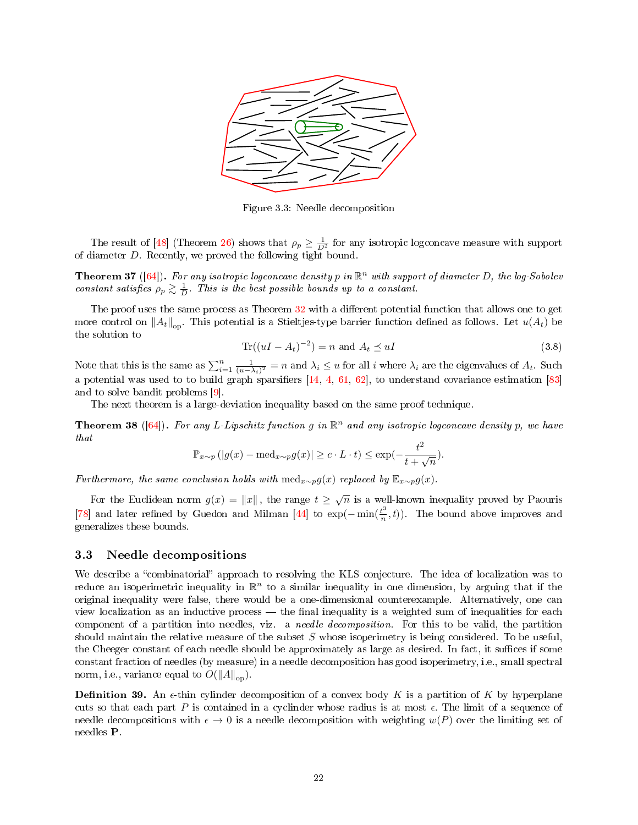

Figure 3.3: Needle decomposition

The result of [\[48\]](#page-25-3) (Theorem [26\)](#page-15-1) shows that  $\rho_p \geq \frac{1}{D^2}$  for any isotropic logconcave measure with support of diameter D. Recently, we proved the following tight bound.

**Theorem 37** ([\[64\]](#page-26-16)). For any isotropic logconcave density p in  $\mathbb{R}^n$  with support of diameter D, the log-Sobolev constant satisfies  $\rho_p \gtrsim \frac{1}{D}$ . This is the best possible bounds up to a constant.

The proof uses the same process as Theorem [32](#page-18-4) with a different potential function that allows one to get more control on  $||A_t||_{\text{on}}$ . This potential is a Stieltjes-type barrier function defined as follows. Let  $u(A_t)$  be the solution to

$$
\text{Tr}((uI - A_t)^{-2}) = n \text{ and } A_t \preceq uI \tag{3.8}
$$

Note that this is the same as  $\sum_{i=1}^{n} \frac{1}{(u-\lambda_i)^2} = n$  and  $\lambda_i \leq u$  for all i where  $\lambda_i$  are the eigenvalues of  $A_t$ . Such a potential was used to to build graph sparsifiers  $[14, 4, 61, 62]$  $[14, 4, 61, 62]$  $[14, 4, 61, 62]$  $[14, 4, 61, 62]$  $[14, 4, 61, 62]$  $[14, 4, 61, 62]$  $[14, 4, 61, 62]$ , to understand covariance estimation  $[83]$ and to solve bandit problems [\[9\]](#page-23-10).

The next theorem is a large-deviation inequality based on the same proof technique.

**Theorem 38** ([\[64\]](#page-26-16)). For any L-Lipschitz function g in  $\mathbb{R}^n$  and any isotropic logconcave density p, we have that

$$
\mathbb{P}_{x \sim p} (|g(x) - \text{med}_{x \sim p} g(x)| \ge c \cdot L \cdot t) \le \exp(-\frac{t^2}{t + \sqrt{n}}).
$$

Furthermore, the same conclusion holds with  $\text{med}_{x\sim p}g(x)$  replaced by  $\mathbb{E}_{x\sim p}g(x)$ .

For the Euclidean norm  $g(x) = ||x||$ , the range  $t \geq \sqrt{n}$  is a well-known inequality proved by Paouris [\[78\]](#page-27-18) and later refined by Guedon and Milman [\[44\]](#page-25-9) to  $\exp(-\min(\frac{t^3}{n}))$  $\binom{t^{\sigma}}{n}$ , t). The bound above improves and generalizes these bounds.

### <span id="page-21-0"></span>3.3 Needle decompositions

We describe a "combinatorial" approach to resolving the KLS conjecture. The idea of localization was to reduce an isoperimetric inequality in  $\mathbb{R}^n$  to a similar inequality in one dimension, by arguing that if the original inequality were false, there would be a one-dimensional counterexample. Alternatively, one can view localization as an inductive process — the final inequality is a weighted sum of inequalities for each component of a partition into needles, viz. a needle decomposition. For this to be valid, the partition should maintain the relative measure of the subset  $S$  whose isoperimetry is being considered. To be useful, the Cheeger constant of each needle should be approximately as large as desired. In fact, it suffices if some constant fraction of needles (by measure) in a needle decomposition has good isoperimetry, i.e., small spectral norm, i.e., variance equal to  $O(||A||_{op})$ .

**Definition 39.** An  $\epsilon$ -thin cylinder decomposition of a convex body K is a partition of K by hyperplane cuts so that each part  $P$  is contained in a cyclinder whose radius is at most  $\epsilon$ . The limit of a sequence of needle decompositions with  $\epsilon \to 0$  is a needle decomposition with weighting  $w(P)$  over the limiting set of needles P.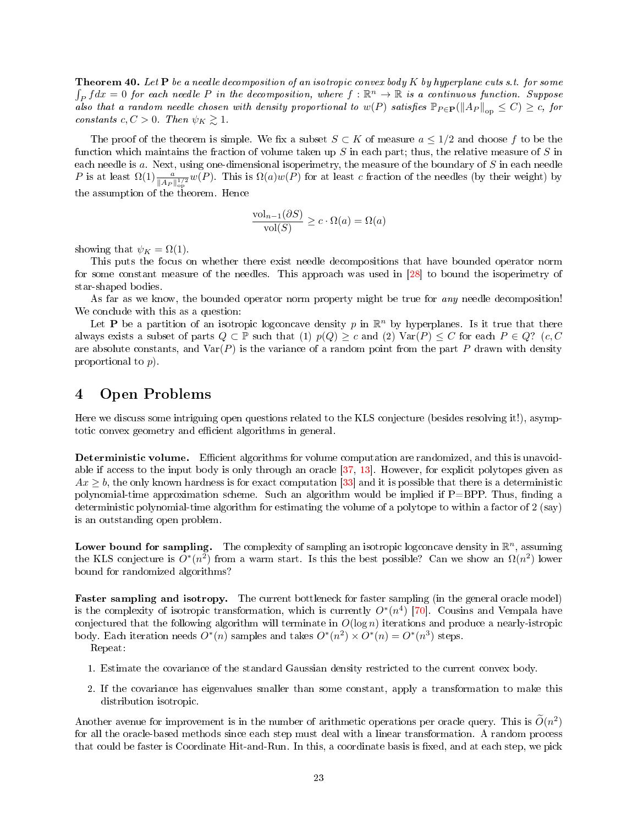**Theorem 40.** Let  $P$  be a needle decomposition of an isotropic convex body  $K$  by hyperplane cuts s.t. for some  $\int_P f dx = 0$  for each needle P in the decomposition, where  $f : \mathbb{R}^n \to \mathbb{R}$  is a continuous function. Suppose also that a random needle chosen with density proportional to  $w(P)$  satisfies  $\mathbb{P}_{P \in \mathbf{P}}(\|A_P\|_{op} \leq C) \geq c$ , for constants  $c, C > 0$ . Then  $\psi_K \gtrsim 1$ .

The proof of the theorem is simple. We fix a subset  $S \subset K$  of measure  $a \leq 1/2$  and choose f to be the function which maintains the fraction of volume taken up  $S$  in each part; thus, the relative measure of  $S$  in each needle is a. Next, using one-dimensional isoperimetry, the measure of the boundary of S in each needle P is at least  $\Omega(1) \frac{a}{\|A_P\|_{op}^{1/2}} w(P)$ . This is  $\Omega(a)w(P)$  for at least c fraction of the needles (by their weight) by the assumption of the theorem. Hence

$$
\frac{\text{vol}_{n-1}(\partial S)}{\text{vol}(S)} \ge c \cdot \Omega(a) = \Omega(a)
$$

showing that  $\psi_K = \Omega(1)$ .

This puts the focus on whether there exist needle decompositions that have bounded operator norm for some constant measure of the needles. This approach was used in [\[28\]](#page-24-17) to bound the isoperimetry of star-shaped bodies.

As far as we know, the bounded operator norm property might be true for *any* needle decomposition! We conclude with this as a question:

Let **P** be a partition of an isotropic logconcave density p in  $\mathbb{R}^n$  by hyperplanes. Is it true that there always exists a subset of parts  $Q \subset \mathbb{P}$  such that  $(1)$   $p(Q) \geq c$  and  $(2)$  Var $(P) \leq C$  for each  $P \in Q$ ?  $(c, C)$ are absolute constants, and  $Var(P)$  is the variance of a random point from the part P drawn with density proportional to p).

# <span id="page-22-0"></span>4 Open Problems

Here we discuss some intriguing open questions related to the KLS conjecture (besides resolving it!), asymptotic convex geometry and efficient algorithms in general.

Deterministic volume. Efficient algorithms for volume computation are randomized, and this is unavoidable if access to the input body is only through an oracle [\[37,](#page-25-18) [13\]](#page-24-18). However, for explicit polytopes given as  $Ax \ge b$ , the only known hardness is for exact computation [\[33\]](#page-25-12) and it is possible that there is a deterministic polynomial-time approximation scheme. Such an algorithm would be implied if  $P=BPP$ . Thus, finding a deterministic polynomial-time algorithm for estimating the volume of a polytope to within a factor of 2 (say) is an outstanding open problem.

Lower bound for sampling. The complexity of sampling an isotropic logconcave density in  $\mathbb{R}^n$ , assuming the KLS conjecture is  $O^*(n^2)$  from a warm start. Is this the best possible? Can we show an  $\Omega(n^2)$  lower bound for randomized algorithms?

Faster sampling and isotropy. The current bottleneck for faster sampling (in the general oracle model) is the complexity of isotropic transformation, which is currently  $O^*(n^4)$  [\[70\]](#page-27-13). Cousins and Vempala have conjectured that the following algorithm will terminate in  $O(\log n)$  iterations and produce a nearly-istropic body. Each iteration needs  $O^*(n)$  samples and takes  $O^*(n^2) \times O^*(n) = O^*(n^3)$  steps.

Repeat:

- 1. Estimate the covariance of the standard Gaussian density restricted to the current convex body.
- 2. If the covariance has eigenvalues smaller than some constant, apply a transformation to make this distribution isotropic.

Another avenue for improvement is in the number of arithmetic operations per oracle query. This is  $\tilde{O}(n^2)$ for all the oracle-based methods since each step must deal with a linear transformation. A random process that could be faster is Coordinate Hit-and-Run. In this, a coordinate basis is fixed, and at each step, we pick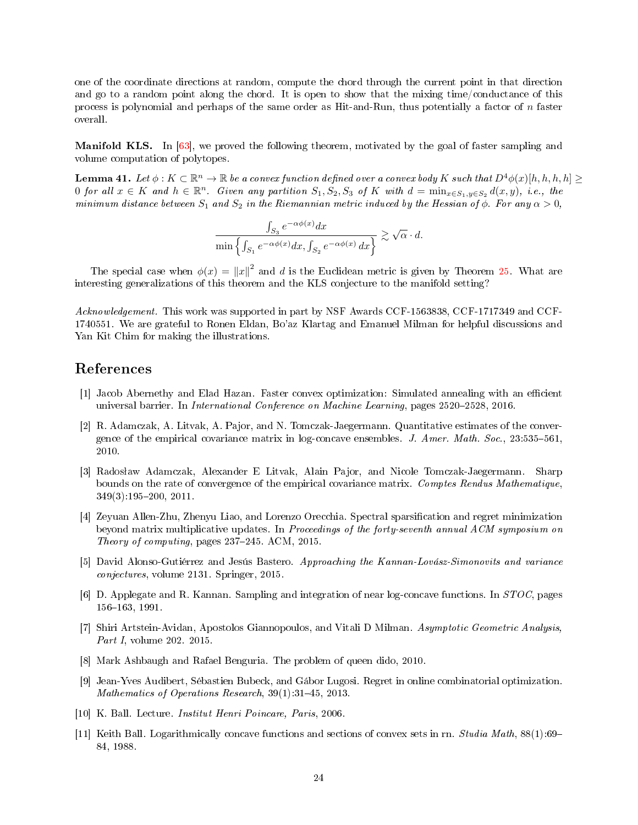one of the coordinate directions at random, compute the chord through the current point in that direction and go to a random point along the chord. It is open to show that the mixing time/conductance of this process is polynomial and perhaps of the same order as Hit-and-Run, thus potentially a factor of n faster overall.

Manifold KLS. In [\[63\]](#page-26-19), we proved the following theorem, motivated by the goal of faster sampling and volume computation of polytopes.

**Lemma 41.** Let  $\phi: K \subset \mathbb{R}^n \to \mathbb{R}$  be a convex function defined over a convex body K such that  $D^4\phi(x)[h, h, h, h] \ge$ 0 for all  $x \in K$  and  $h \in \mathbb{R}^n$ . Given any partition  $S_1, S_2, S_3$  of K with  $d = \min_{x \in S_1, y \in S_2} d(x, y)$ , i.e., the minimum distance between  $S_1$  and  $S_2$  in the Riemannian metric induced by the Hessian of  $\phi$ . For any  $\alpha > 0$ ,

$$
\frac{\int_{S_3} e^{-\alpha \phi(x)} dx}{\min \left\{ \int_{S_1} e^{-\alpha \phi(x)} dx, \int_{S_2} e^{-\alpha \phi(x)} dx \right\}} \gtrsim \sqrt{\alpha} \cdot d.
$$

The special case when  $\phi(x) = ||x||^2$  and d is the Euclidean metric is given by Theorem [25.](#page-14-0) What are interesting generalizations of this theorem and the KLS conjecture to the manifold setting?

Acknowledgement. This work was supported in part by NSF Awards CCF-1563838, CCF-1717349 and CCF-1740551. We are grateful to Ronen Eldan, Bo'az Klartag and Emanuel Milman for helpful discussions and Yan Kit Chim for making the illustrations.

# References

- <span id="page-23-5"></span>[1] Jacob Abernethy and Elad Hazan. Faster convex optimization: Simulated annealing with an efficient universal barrier. In *International Conference on Machine Learning*, pages 2520–2528, 2016.
- <span id="page-23-7"></span>[2] R. Adamczak, A. Litvak, A. Pajor, and N. Tomczak-Jaegermann. Quantitative estimates of the convergence of the empirical covariance matrix in log-concave ensembles. J. Amer. Math. Soc.,  $23:535-561$ , 2010.
- <span id="page-23-8"></span>[3] Radosław Adamczak, Alexander E Litvak, Alain Pajor, and Nicole Tomczak-Jaegermann. Sharp bounds on the rate of convergence of the empirical covariance matrix. Comptes Rendus Mathematique,  $349(3):195-200, 2011.$
- <span id="page-23-9"></span>[4] Zeyuan Allen-Zhu, Zhenyu Liao, and Lorenzo Orecchia. Spectral sparsication and regret minimization beyond matrix multiplicative updates. In Proceedings of the forty-seventh annual ACM symposium on Theory of computing, pages 237–245. ACM, 2015.
- <span id="page-23-1"></span>[5] David Alonso-Gutiérrez and Jesús Bastero. Approaching the Kannan-Lovász-Simonovits and variance conjectures, volume 2131. Springer, 2015.
- <span id="page-23-6"></span>[6] D. Applegate and R. Kannan. Sampling and integration of near log-concave functions. In  $STOC$ , pages 156-163, 1991.
- <span id="page-23-2"></span>[7] Shiri Artstein-Avidan, Apostolos Giannopoulos, and Vitali D Milman. Asymptotic Geometric Analysis, Part I, volume 202. 2015.
- <span id="page-23-0"></span>[8] Mark Ashbaugh and Rafael Benguria. The problem of queen dido, 2010.
- <span id="page-23-10"></span>[9] Jean-Yves Audibert, Sébastien Bubeck, and Gábor Lugosi. Regret in online combinatorial optimization. Mathematics of Operations Research,  $39(1):31-45$ , 2013.
- <span id="page-23-3"></span>[10] K. Ball. Lecture. Institut Henri Poincare, Paris, 2006.
- <span id="page-23-4"></span>[11] Keith Ball. Logarithmically concave functions and sections of convex sets in rn. Studia Math, 88(1):69 84, 1988.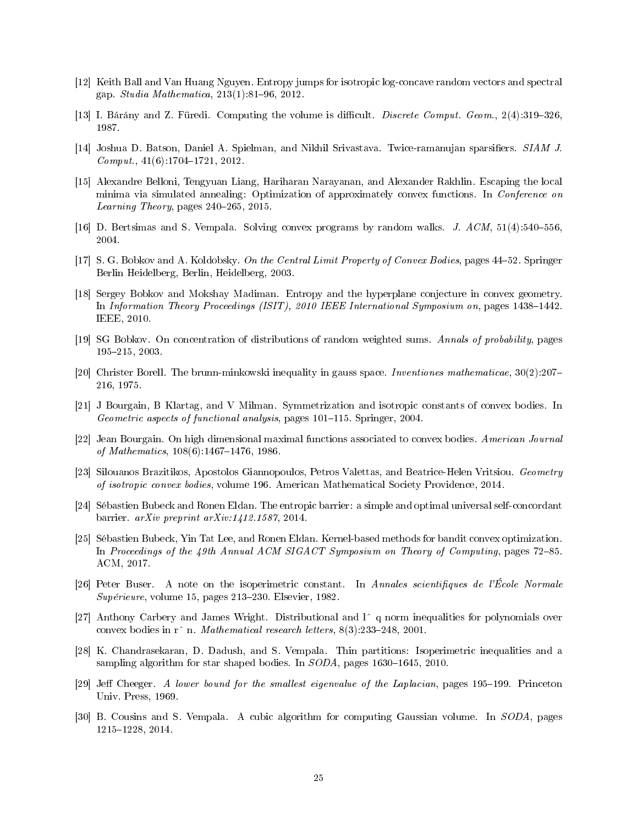- <span id="page-24-2"></span>[12] Keith Ball and Van Huang Nguyen. Entropy jumps for isotropic log-concave random vectors and spectral gap. *Studia Mathematica*,  $213(1):81-96$ ,  $2012$ .
- <span id="page-24-18"></span>[13] I. Bárány and Z. Füredi. Computing the volume is difficult. *Discrete Comput. Geom.*,  $2(4):319-326$ . 1987.
- <span id="page-24-16"></span>[14] Joshua D. Batson, Daniel A. Spielman, and Nikhil Srivastava. Twice-ramanujan sparsifiers. SIAM J.  $Comput., 41(6):1704-1721, 2012.$
- <span id="page-24-12"></span>[15] Alexandre Belloni, Tengyuan Liang, Hariharan Narayanan, and Alexander Rakhlin. Escaping the local minima via simulated annealing: Optimization of approximately convex functions. In Conference on Learning Theory, pages  $240-265$ ,  $2015$ .
- <span id="page-24-1"></span>[16] D. Bertsimas and S. Vempala. Solving convex programs by random walks.  $J.$  ACM,  $51(4):540-556$ . 2004.
- <span id="page-24-8"></span>[17] S. G. Bobkov and A. Koldobsky. On the Central Limit Property of Convex Bodies, pages 4452. Springer Berlin Heidelberg, Berlin, Heidelberg, 2003.
- <span id="page-24-4"></span>[18] Sergey Bobkov and Mokshay Madiman. Entropy and the hyperplane conjecture in convex geometry. In Information Theory Proceedings (ISIT), 2010 IEEE International Symposium on, pages 1438–1442. IEEE, 2010.
- <span id="page-24-3"></span>[19] SG Bobkov. On concentration of distributions of random weighted sums. Annals of probability, pages 195215, 2003.
- <span id="page-24-0"></span>[20] Christer Borell. The brunn-minkowski inequality in gauss space. Inventiones mathematicae, 30(2):207 216, 1975.
- <span id="page-24-7"></span>[21] J Bourgain, B Klartag, and V Milman. Symmetrization and isotropic constants of convex bodies. In Geometric aspects of functional analysis, pages 101-115. Springer, 2004.
- <span id="page-24-6"></span>[22] Jean Bourgain. On high dimensional maximal functions associated to convex bodies. American Journal of Mathematics,  $108(6)$ :1467-1476, 1986.
- <span id="page-24-5"></span>[23] Silouanos Brazitikos, Apostolos Giannopoulos, Petros Valettas, and Beatrice-Helen Vritsiou. Geometry of isotropic convex bodies, volume 196. American Mathematical Society Providence, 2014.
- <span id="page-24-11"></span>[24] Sébastien Bubeck and Ronen Eldan. The entropic barrier: a simple and optimal universal self-concordant barrier. arXiv preprint arXiv:1412.1587, 2014.
- <span id="page-24-13"></span>[25] Sébastien Bubeck, Yin Tat Lee, and Ronen Eldan. Kernel-based methods for bandit convex optimization. In Proceedings of the 49th Annual ACM SIGACT Symposium on Theory of Computing, pages 72-85. ACM, 2017.
- <span id="page-24-10"></span>[26] Peter Buser. A note on the isoperimetric constant. In Annales scientifiques de l'École Normale  $Supérieure$ , volume 15, pages 213–230. Elsevier, 1982.
- <span id="page-24-15"></span>[27] Anthony Carbery and James Wright. Distributional and  $\Gamma$  q norm inequalities for polynomials over convex bodies in  $r^{\text{th}}$  n. Mathematical research letters,  $8(3).233-248, 2001$ .
- <span id="page-24-17"></span>[28] K. Chandrasekaran, D. Dadush, and S. Vempala. Thin partitions: Isoperimetric inequalities and a sampling algorithm for star shaped bodies. In  $SODA$ , pages 1630–1645, 2010.
- <span id="page-24-9"></span>[29] Jeff Cheeger. A lower bound for the smallest eigenvalue of the Laplacian, pages 195–199. Princeton Univ. Press, 1969.
- <span id="page-24-14"></span>[30] B. Cousins and S. Vempala. A cubic algorithm for computing Gaussian volume. In SODA, pages 12151228, 2014.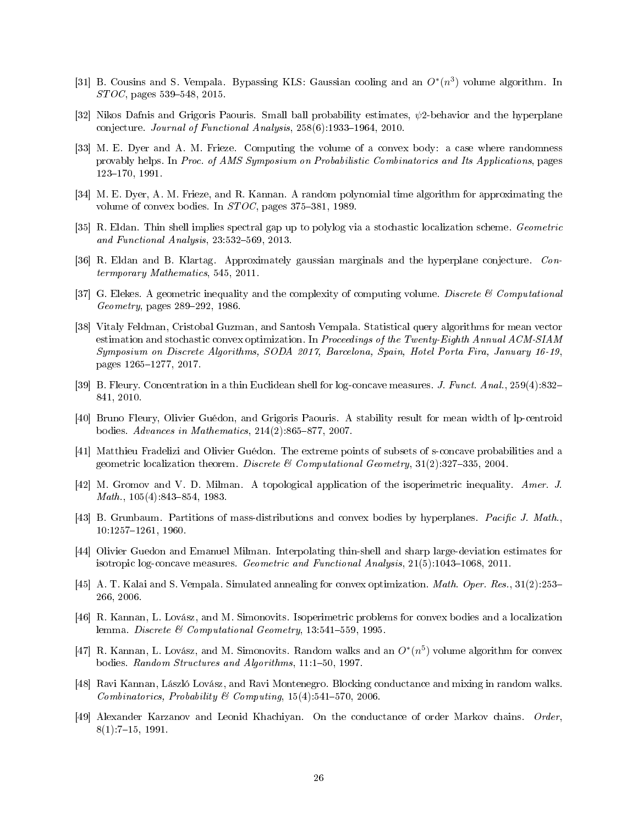- <span id="page-25-15"></span>[31] B. Cousins and S. Vempala. Bypassing KLS: Gaussian cooling and an  $O^*(n^3)$  volume algorithm. In  $STOC$ , pages 539–548, 2015.
- <span id="page-25-6"></span>[32] Nikos Dafnis and Grigoris Paouris. Small ball probability estimates,  $\psi$ 2-behavior and the hyperplane conjecture. Journal of Functional Analysis,  $258(6)$ :1933-1964, 2010.
- <span id="page-25-12"></span>[33] M. E. Dyer and A. M. Frieze. Computing the volume of a convex body: a case where randomness provably helps. In Proc. of AMS Symposium on Probabilistic Combinatorics and Its Applications, pages 123-170, 1991.
- <span id="page-25-5"></span>[34] M. E. Dyer, A. M. Frieze, and R. Kannan. A random polynomial time algorithm for approximating the volume of convex bodies. In  $STOC$ , pages 375-381, 1989.
- <span id="page-25-2"></span>[35] R. Eldan. Thin shell implies spectral gap up to polylog via a stochastic localization scheme. Geometric and Functional Analysis,  $23.532-569$ ,  $2013$ .
- <span id="page-25-1"></span>[36] R. Eldan and B. Klartag. Approximately gaussian marginals and the hyperplane conjecture. Contermporary Mathematics, 545, 2011.
- <span id="page-25-18"></span>[37] G. Elekes. A geometric inequality and the complexity of computing volume. Discrete  $\mathscr C$  Computational Geometry, pages 289–292, 1986.
- <span id="page-25-14"></span>[38] Vitaly Feldman, Cristobal Guzman, and Santosh Vempala. Statistical query algorithms for mean vector estimation and stochastic convex optimization. In Proceedings of the Twenty-Eighth Annual ACM-SIAM Symposium on Discrete Algorithms, SODA 2017, Barcelona, Spain, Hotel Porta Fira, January 16-19, pages 1265-1277, 2017.
- <span id="page-25-8"></span>[39] B. Fleury. Concentration in a thin Euclidean shell for log-concave measures. J. Funct. Anal., 259(4):832 841, 2010.
- <span id="page-25-7"></span>[40] Bruno Fleury, Olivier Guédon, and Grigoris Paouris. A stability result for mean width of lp-centroid bodies. Advances in Mathematics,  $214(2)$ :865-877, 2007.
- <span id="page-25-17"></span>[41] Matthieu Fradelizi and Olivier Guédon. The extreme points of subsets of s-concave probabilities and a geometric localization theorem. Discrete & Computational Geometry,  $31(2):327-335$ , 2004.
- <span id="page-25-10"></span>[42] M. Gromov and V. D. Milman. A topological application of the isoperimetric inequality. Amer. J.  $Math., 105(4).843–854, 1983.$
- <span id="page-25-11"></span>[43] B. Grunbaum. Partitions of mass-distributions and convex bodies by hyperplanes. Pacific J. Math., 10:1257-1261, 1960.
- <span id="page-25-9"></span>[44] Olivier Guedon and Emanuel Milman. Interpolating thin-shell and sharp large-deviation estimates for isotropic log-concave measures. Geometric and Functional Analysis,  $21(5):1043-1068$ ,  $2011$ .
- <span id="page-25-13"></span>[45] A. T. Kalai and S. Vempala. Simulated annealing for convex optimization. Math. Oper. Res., 31(2):253 266, 2006.
- <span id="page-25-0"></span>[46] R. Kannan, L. Lovász, and M. Simonovits. Isoperimetric problems for convex bodies and a localization lemma. Discrete & Computational Geometry, 13:541-559, 1995.
- <span id="page-25-4"></span>[47] R. Kannan, L. Lovász, and M. Simonovits. Random walks and an  $O^*(n^5)$  volume algorithm for convex bodies. Random Structures and Algorithms, 11:1-50, 1997.
- <span id="page-25-3"></span>[48] Ravi Kannan, László Lovász, and Ravi Montenegro. Blocking conductance and mixing in random walks. Combinatorics, Probability & Computing,  $15(4)$ :541-570, 2006.
- <span id="page-25-16"></span>[49] Alexander Karzanov and Leonid Khachiyan. On the conductance of order Markov chains. Order,  $8(1)$ : 7-15, 1991.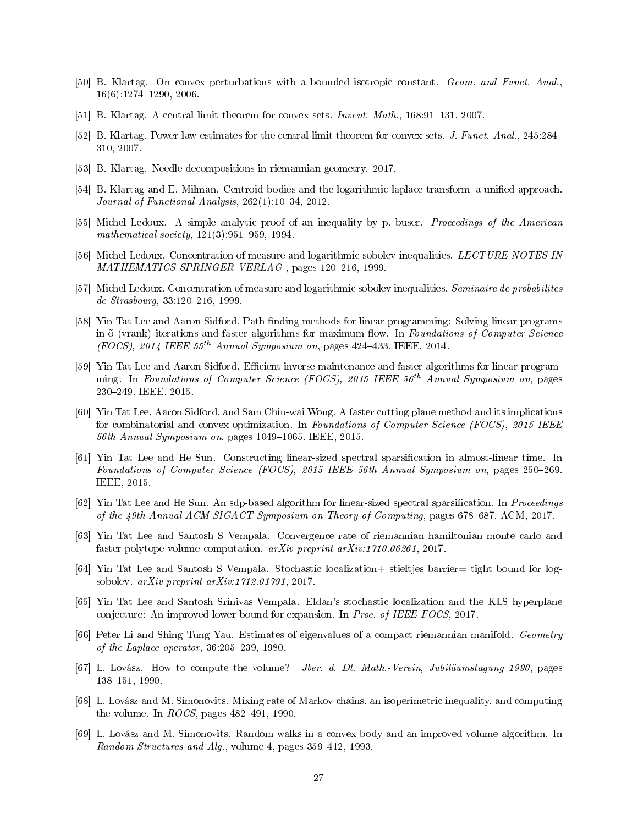- <span id="page-26-3"></span>[50] B. Klartag. On convex perturbations with a bounded isotropic constant. Geom. and Funct. Anal.,  $16(6):1274-1290, 2006$ .
- <span id="page-26-4"></span>[51] B. Klartag. A central limit theorem for convex sets. *Invent. Math.*,  $168:91-131$ , 2007.
- <span id="page-26-5"></span>[52] B. Klartag. Power-law estimates for the central limit theorem for convex sets. J. Funct. Anal., 245:284 310, 2007.
- <span id="page-26-13"></span>[53] B. Klartag. Needle decompositions in riemannian geometry. 2017.
- <span id="page-26-15"></span>[54] B. Klartag and E. Milman. Centroid bodies and the logarithmic laplace transform-a unified approach. Journal of Functional Analysis,  $262(1):10-34$ ,  $2012$ .
- <span id="page-26-7"></span>[55] Michel Ledoux. A simple analytic proof of an inequality by p. buser. *Proceedings of the American* mathematical society,  $121(3):951-959$ , 1994.
- <span id="page-26-2"></span>[56] Michel Ledoux. Concentration of measure and logarithmic sobolev inequalities. LECTURE NOTES IN  $MATHEMATICS-SPRINGER VERLAG-$ , pages 120-216, 1999.
- <span id="page-26-14"></span>[57] Michel Ledoux. Concentration of measure and logarithmic sobolev inequalities. Seminaire de probabilites de Strasbourg, 33:120-216, 1999.
- <span id="page-26-9"></span>[58] Yin Tat Lee and Aaron Sidford. Path finding methods for linear programming: Solving linear programs in  $\tilde{\text{o}}$  (vrank) iterations and faster algorithms for maximum flow. In Foundations of Computer Science (FOCS), 2014 IEEE  $55^{th}$  Annual Symposium on, pages 424–433. IEEE, 2014.
- <span id="page-26-10"></span>[59] Yin Tat Lee and Aaron Sidford. Efficient inverse maintenance and faster algorithms for linear programming. In Foundations of Computer Science (FOCS), 2015 IEEE  $56<sup>th</sup>$  Annual Symposium on, pages 230249. IEEE, 2015.
- <span id="page-26-8"></span>[60] Yin Tat Lee, Aaron Sidford, and Sam Chiu-wai Wong. A faster cutting plane method and its implications for combinatorial and convex optimization. In Foundations of Computer Science (FOCS), 2015 IEEE  $56th$  Annual Symposium on, pages 1049–1065. IEEE, 2015.
- <span id="page-26-17"></span>[61] Yin Tat Lee and He Sun. Constructing linear-sized spectral sparsication in almost-linear time. In Foundations of Computer Science (FOCS), 2015 IEEE 56th Annual Symposium on, pages 250–269. IEEE, 2015.
- <span id="page-26-18"></span>[62] Yin Tat Lee and He Sun. An sdp-based algorithm for linear-sized spectral sparsification. In *Proceedings* of the 49th Annual ACM SIGACT Symposium on Theory of Computing, pages 678–687. ACM, 2017.
- <span id="page-26-19"></span>[63] Yin Tat Lee and Santosh S Vempala. Convergence rate of riemannian hamiltonian monte carlo and faster polytope volume computation. arXiv preprint arXiv:1710.06261, 2017.
- <span id="page-26-16"></span>[64] Yin Tat Lee and Santosh S Vempala. Stochastic localization+ stieltjes barrier= tight bound for logsobolev. arXiv preprint arXiv:1712.01791, 2017.
- <span id="page-26-6"></span>[65] Yin Tat Lee and Santosh Srinivas Vempala. Eldan's stochastic localization and the KLS hyperplane conjecture: An improved lower bound for expansion. In Proc. of IEEE FOCS, 2017.
- <span id="page-26-12"></span>[66] Peter Li and Shing Tung Yau. Estimates of eigenvalues of a compact riemannian manifold. Geometry of the Laplace operator,  $36:205-239$ , 1980.
- <span id="page-26-0"></span>[67] L. Lovász. How to compute the volume? Jber. d. Dt. Math.-Verein, Jubiläumstagung 1990, pages 138-151, 1990.
- <span id="page-26-11"></span>[68] L. Lovász and M. Simonovits. Mixing rate of Markov chains, an isoperimetric inequality, and computing the volume. In  $ROCS$ , pages 482-491, 1990.
- <span id="page-26-1"></span>[69] L. Lovász and M. Simonovits. Random walks in a convex body and an improved volume algorithm. In Random Structures and Alg., volume 4, pages 359–412, 1993.